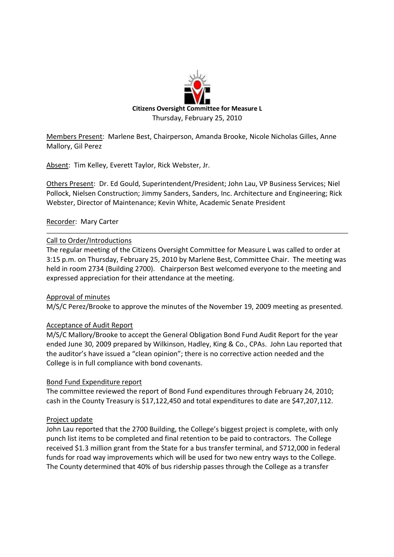

Members Present: Marlene Best, Chairperson, Amanda Brooke, Nicole Nicholas Gilles, Anne Mallory, Gil Perez

Absent: Tim Kelley, Everett Taylor, Rick Webster, Jr.

Others Present: Dr. Ed Gould, Superintendent/President; John Lau, VP Business Services; Niel Pollock, Nielsen Construction; Jimmy Sanders, Sanders, Inc. Architecture and Engineering; Rick Webster, Director of Maintenance; Kevin White, Academic Senate President

### Recorder: Mary Carter

### Call to Order/Introductions

The regular meeting of the Citizens Oversight Committee for Measure L was called to order at 3:15 p.m. on Thursday, February 25, 2010 by Marlene Best, Committee Chair. The meeting was held in room 2734 (Building 2700). Chairperson Best welcomed everyone to the meeting and expressed appreciation for their attendance at the meeting.

### Approval of minutes

M/S/C Perez/Brooke to approve the minutes of the November 19, 2009 meeting as presented.

### Acceptance of Audit Report

M/S/C Mallory/Brooke to accept the General Obligation Bond Fund Audit Report for the year ended June 30, 2009 prepared by Wilkinson, Hadley, King & Co., CPAs. John Lau reported that the auditor's have issued a "clean opinion"; there is no corrective action needed and the College is in full compliance with bond covenants.

### Bond Fund Expenditure report

The committee reviewed the report of Bond Fund expenditures through February 24, 2010; cash in the County Treasury is \$17,122,450 and total expenditures to date are \$47,207,112.

### Project update

John Lau reported that the 2700 Building, the College's biggest project is complete, with only punch list items to be completed and final retention to be paid to contractors. The College received \$1.3 million grant from the State for a bus transfer terminal, and \$712,000 in federal funds for road way improvements which will be used for two new entry ways to the College. The County determined that 40% of bus ridership passes through the College as a transfer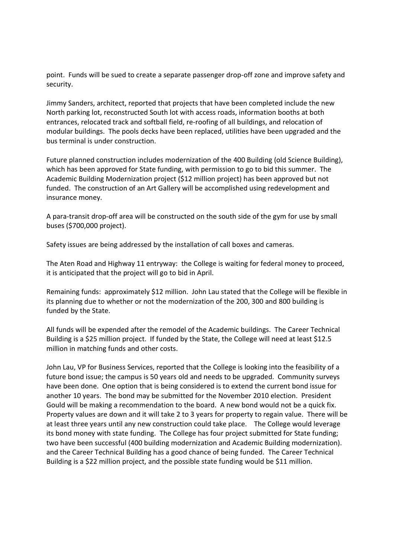point. Funds will be sued to create a separate passenger drop-off zone and improve safety and security.

Jimmy Sanders, architect, reported that projects that have been completed include the new North parking lot, reconstructed South lot with access roads, information booths at both entrances, relocated track and softball field, re-roofing of all buildings, and relocation of modular buildings. The pools decks have been replaced, utilities have been upgraded and the bus terminal is under construction.

Future planned construction includes modernization of the 400 Building (old Science Building), which has been approved for State funding, with permission to go to bid this summer. The Academic Building Modernization project (\$12 million project) has been approved but not funded. The construction of an Art Gallery will be accomplished using redevelopment and insurance money.

A para-transit drop-off area will be constructed on the south side of the gym for use by small buses (\$700,000 project).

Safety issues are being addressed by the installation of call boxes and cameras.

The Aten Road and Highway 11 entryway: the College is waiting for federal money to proceed, it is anticipated that the project will go to bid in April.

Remaining funds: approximately \$12 million. John Lau stated that the College will be flexible in its planning due to whether or not the modernization of the 200, 300 and 800 building is funded by the State.

All funds will be expended after the remodel of the Academic buildings. The Career Technical Building is a \$25 million project. If funded by the State, the College will need at least \$12.5 million in matching funds and other costs.

John Lau, VP for Business Services, reported that the College is looking into the feasibility of a future bond issue; the campus is 50 years old and needs to be upgraded. Community surveys have been done. One option that is being considered is to extend the current bond issue for another 10 years. The bond may be submitted for the November 2010 election. President Gould will be making a recommendation to the board. A new bond would not be a quick fix. Property values are down and it will take 2 to 3 years for property to regain value. There will be at least three years until any new construction could take place. The College would leverage its bond money with state funding. The College has four project submitted for State funding; two have been successful (400 building modernization and Academic Building modernization). and the Career Technical Building has a good chance of being funded. The Career Technical Building is a \$22 million project, and the possible state funding would be \$11 million.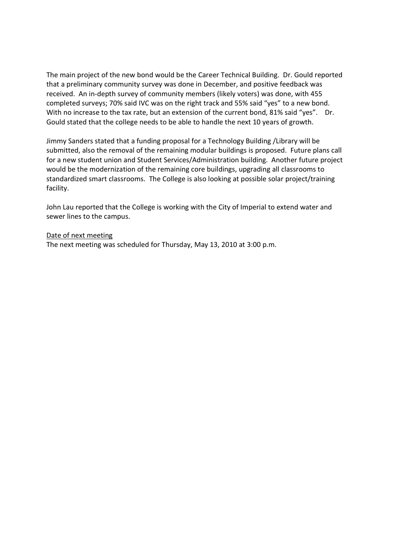The main project of the new bond would be the Career Technical Building. Dr. Gould reported that a preliminary community survey was done in December, and positive feedback was received. An in-depth survey of community members (likely voters) was done, with 455 completed surveys; 70% said IVC was on the right track and 55% said "yes" to a new bond. With no increase to the tax rate, but an extension of the current bond, 81% said "yes". Dr. Gould stated that the college needs to be able to handle the next 10 years of growth.

Jimmy Sanders stated that a funding proposal for a Technology Building /Library will be submitted, also the removal of the remaining modular buildings is proposed. Future plans call for a new student union and Student Services/Administration building. Another future project would be the modernization of the remaining core buildings, upgrading all classrooms to standardized smart classrooms. The College is also looking at possible solar project/training facility.

John Lau reported that the College is working with the City of Imperial to extend water and sewer lines to the campus.

### Date of next meeting

The next meeting was scheduled for Thursday, May 13, 2010 at 3:00 p.m.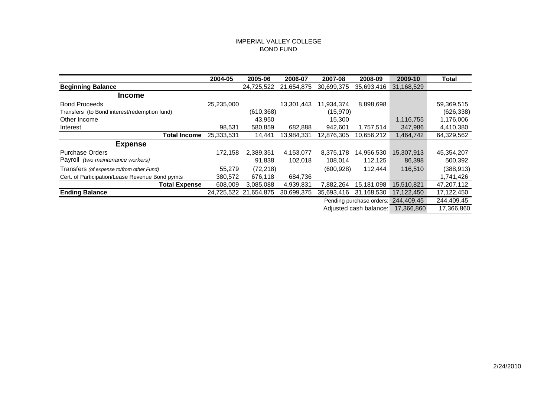### IMPERIAL VALLEY COLLEGE BOND FUND

|                                                 | 2004-05    | 2005-06               | 2006-07    | 2007-08    | 2008-09                  | 2009-10    | Total      |
|-------------------------------------------------|------------|-----------------------|------------|------------|--------------------------|------------|------------|
| <b>Beginning Balance</b>                        |            | 24,725,522            | 21,654,875 | 30,699,375 | 35,693,416               | 31,168,529 |            |
| <b>Income</b>                                   |            |                       |            |            |                          |            |            |
| <b>Bond Proceeds</b>                            | 25,235,000 |                       | 13,301,443 | 11,934,374 | 8,898,698                |            | 59,369,515 |
| Transfers (to Bond interest/redemption fund)    |            | (610, 368)            |            | (15, 970)  |                          |            | (626, 338) |
| Other Income                                    |            | 43,950                |            | 15,300     |                          | 1,116,755  | 1,176,006  |
| Interest                                        | 98,531     | 580,859               | 682,888    | 942,601    | 1,757,514                | 347,986    | 4,410,380  |
| <b>Total Income</b>                             | 25,333,531 | 14,441                | 13,984,331 | 12,876,305 | 10,656,212               | 1,464,742  | 64,329,562 |
| <b>Expense</b>                                  |            |                       |            |            |                          |            |            |
| <b>Purchase Orders</b>                          | 172,158    | 2,389,351             | 4,153,077  | 8,375,178  | 14,956,530               | 15,307,913 | 45,354,207 |
| Payroll <i>(two maintenance workers)</i>        |            | 91,838                | 102,018    | 108,014    | 112,125                  | 86,398     | 500,392    |
| Transfers (of expense to/from other Fund)       | 55,279     | (72, 218)             |            | (600, 928) | 112,444                  | 116,510    | (388, 913) |
| Cert. of Participation/Lease Revenue Bond pymts | 380,572    | 676,118               | 684,736    |            |                          |            | 1,741,426  |
| <b>Total Expense</b>                            | 608,009    | 3,085,088             | 4,939,831  | 7,882,264  | 15,181,098               | 15,510,821 | 47,207,112 |
| <b>Ending Balance</b>                           |            | 24,725,522 21,654,875 | 30,699,375 | 35,693,416 | 31,168,530               | 17,122,450 | 17,122,450 |
|                                                 |            |                       |            |            | Pending purchase orders: | 244,409.45 | 244,409.45 |
|                                                 |            |                       |            |            | Adjusted cash balance:   | 17,366,860 | 17,366,860 |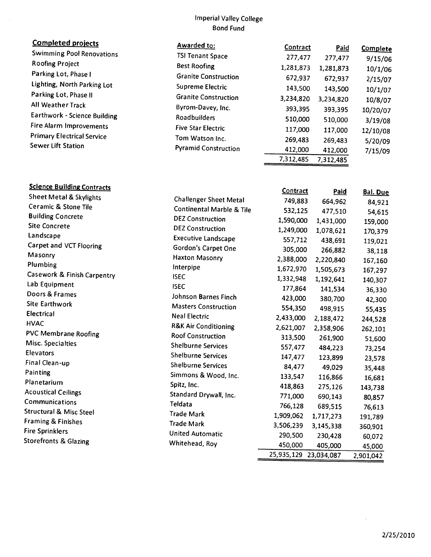### **Imperial Valley College Bond Fund**

 $\sim$ 

| <b>Completed projects</b>           | <b>Awarded to:</b>                                              |                       |           |                 |
|-------------------------------------|-----------------------------------------------------------------|-----------------------|-----------|-----------------|
| <b>Swimming Pool Renovations</b>    | <b>TSI Tenant Space</b>                                         | <b>Contract</b>       | Paid      | Complete        |
| <b>Roofing Project</b>              | <b>Best Roofing</b>                                             | 277,477               | 277,477   | 9/15/06         |
| Parking Lot, Phase I                | <b>Granite Construction</b>                                     | 1,281,873             | 1,281,873 | 10/1/06         |
| Lighting, North Parking Lot         | <b>Supreme Electric</b>                                         | 672,937               | 672,937   | 2/15/07         |
| Parking Lot, Phase II               | <b>Granite Construction</b>                                     | 143,500               | 143,500   | 10/1/07         |
| All Weather Track                   | Byrom-Davey, Inc.                                               | 3,234,820             | 3,234,820 | 10/8/07         |
| <b>Earthwork - Science Building</b> | Roadbuilders                                                    | 393,395               | 393,395   | 10/20/07        |
| Fire Alarm Improvements             | <b>Five Star Electric</b>                                       | 510,000               | 510,000   | 3/19/08         |
| <b>Primary Electrical Service</b>   |                                                                 | 117,000               | 117,000   | 12/10/08        |
| <b>Sewer Lift Station</b>           | Tom Watson Inc.                                                 | 269,483               | 269,483   | 5/20/09         |
|                                     | <b>Pyramid Construction</b>                                     | 412,000               | 412,000   | 7/15/09         |
|                                     |                                                                 | 7,312,485             | 7,312,485 |                 |
| <b>Science Building Contracts</b>   |                                                                 |                       |           |                 |
| <b>Sheet Metal &amp; Skylights</b>  |                                                                 | <b>Contract</b>       | Paid      | <b>Bal. Due</b> |
| <b>Ceramic &amp; Stone Tile</b>     | <b>Challenger Sheet Metal</b>                                   | 749,883               | 664,962   | 84,921          |
| <b>Building Concrete</b>            | <b>Continental Marble &amp; Tile</b><br><b>DEZ Construction</b> | 532,125               | 477,510   | 54,615          |
| <b>Site Concrete</b>                | <b>DEZ Construction</b>                                         | 1,590,000             | 1,431,000 | 159,000         |
| Landscape                           |                                                                 | 1,249,000             | 1,078,621 | 170,379         |
| Carpet and VCT Flooring             | <b>Executive Landscape</b><br><b>Gordon's Carpet One</b>        | 557,712               | 438,691   | 119,021         |
| Masonry                             | Haxton Masonry                                                  | 305,000               | 266,882   | 38,118          |
| Plumbing                            | Interpipe                                                       | 2,388,000             | 2,220,840 | 167,160         |
| Casework & Finish Carpentry         | <b>ISEC</b>                                                     | 1,672,970             | 1,505,673 | 167,297         |
| Lab Equipment                       | <b>ISEC</b>                                                     | 1,332,948             | 1,192,641 | 140,307         |
| Doors & Frames                      | Johnson Barnes Finch                                            | 177,864               | 141,534   | 36,330          |
| Site Earthwork                      | <b>Masters Construction</b>                                     | 423,000               | 380,700   | 42,300          |
| Electrical                          | <b>Neal Electric</b>                                            | 554,350               | 498,915   | 55,435          |
| <b>HVAC</b>                         | <b>R&amp;K Air Conditioning</b>                                 | 2,433,000             | 2,188,472 | 244,528         |
| <b>PVC Membrane Roofing</b>         | <b>Roof Construction</b>                                        | 2,621,007             | 2,358,906 | 262,101         |
| Misc. Specialties                   | <b>Shelburne Services</b>                                       | 313,500               | 261,900   | 51,600          |
| <b>Elevators</b>                    | <b>Shelburne Services</b>                                       | 557,477               | 484,223   | 73,254          |
| Final Clean-up                      | <b>Shelburne Services</b>                                       | 147,477               | 123,899   | 23,578          |
| Painting                            | Simmons & Wood, Inc.                                            | 84,477                | 49,029    | 35,448          |
| Planetarium                         | Spitz, Inc.                                                     | 133,547<br>418,863    | 116,866   | 16,681          |
| <b>Acoustical Ceilings</b>          | Standard Drywall, Inc.                                          |                       | 275,126   | 143,738         |
| Communications                      | Teldata                                                         | 771,000               | 690,143   | 80,857          |
| <b>Structural &amp; Misc Steel</b>  | <b>Trade Mark</b>                                               | 766,128<br>1,909,062  | 689,515   | 76,613          |
| Framing & Finishes                  | <b>Trade Mark</b>                                               |                       | 1,717,273 | 191,789         |
| <b>Fire Sprinklers</b>              | <b>United Automatic</b>                                         | 3,506,239<br>290,500  | 3,145,338 | 360,901         |
| <b>Storefronts &amp; Glazing</b>    | Whitehead, Roy                                                  | 450,000               | 230,428   | 60,072          |
|                                     |                                                                 | 25,935,129 23,034,087 | 405,000   | 45,000          |
|                                     |                                                                 |                       |           | 2,901,042       |

 $\mathcal{A}^{\mathcal{A}}$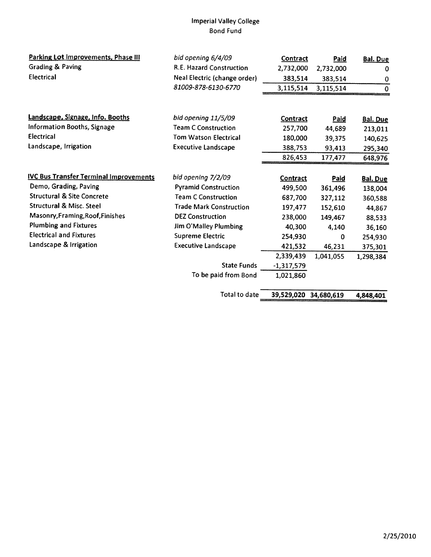### **Imperial Valley College Bond Fund**

| Parking Lot Improvements, Phase III           | bid opening 6/4/09             | Contract                   | Paid                  | <b>Bal. Due</b>    |
|-----------------------------------------------|--------------------------------|----------------------------|-----------------------|--------------------|
| Grading & Paving                              | R.E. Hazard Construction       | 2,732,000                  | 2,732,000             | 0                  |
| Electrical                                    | Neal Electric (change order)   | 383,514                    | 383,514               | 0                  |
|                                               | 81009-878-6130-6770            | 3,115,514                  | 3,115,514             | $\pmb{0}$          |
| Landscape, Signage, Info. Booths              | bid opening 11/5/09            |                            |                       |                    |
| Information Booths, Signage                   | <b>Team C Construction</b>     | <b>Contract</b><br>257,700 | <b>Paid</b><br>44,689 | <b>Bal. Due</b>    |
| Electrical                                    | Tom Watson Electrical          | 180,000                    | 39,375                | 213,011            |
| Landscape, Irrigation                         | <b>Executive Landscape</b>     | 388,753                    | 93,413                | 140,625            |
|                                               |                                | 826,453                    | 177,477               | 295,340<br>648,976 |
| <b>IVC Bus Transfer Terminal Improvements</b> | bid opening 7/2/09             | <b>Contract</b>            | Paid                  | <b>Bal. Due</b>    |
| Demo, Grading, Paving                         | <b>Pyramid Construction</b>    | 499,500                    | 361,496               | 138,004            |
| <b>Structural &amp; Site Concrete</b>         | <b>Team C Construction</b>     | 687,700                    | 327,112               | 360,588            |
| <b>Structural &amp; Misc. Steel</b>           | <b>Trade Mark Construction</b> | 197,477                    | 152,610               | 44,867             |
| Masonry, Framing, Roof, Finishes              | <b>DEZ Construction</b>        | 238,000                    | 149,467               | 88,533             |
| <b>Plumbing and Fixtures</b>                  | Jim O'Malley Plumbing          | 40,300                     | 4,140                 | 36,160             |
| <b>Electrical and Fixtures</b>                | <b>Supreme Electric</b>        | 254,930                    | 0                     | 254,930            |
| Landscape & Irrigation                        | <b>Executive Landscape</b>     | 421,532                    | 46,231                | 375,301            |
|                                               |                                | 2,339,439                  | 1,041,055             | 1,298,384          |
|                                               | <b>State Funds</b>             | $-1,317,579$               |                       |                    |
|                                               | To be paid from Bond           | 1,021,860                  |                       |                    |
|                                               | <b>Total to date</b>           | 39,529,020                 | 34,680,619            | 4,848,401          |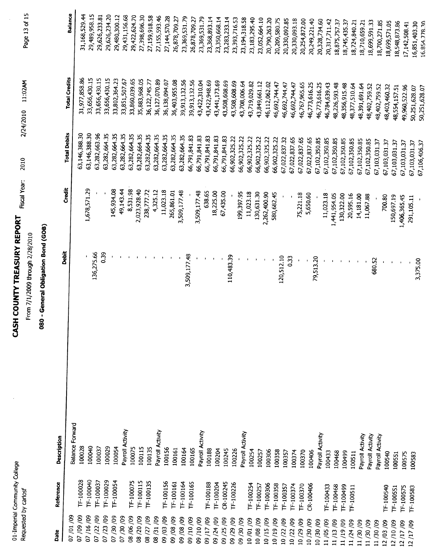| $\overline{a}$<br>٥<br>∶<br>É | ç<br>ī |
|-------------------------------|--------|
|                               | ۶<br>Ľ |
|                               | ì      |

# **CASH COUNTY TREASURY REPORT** Fiscal Year: 2010

2/24/2010 11:02AM

Page 13 of 15

### From 7/1/2009 through 2/28/2010 Dona /CO 080 - General Obligation

| ֖֖֖֖֖֖֖ׅ֪֪ׅ֖֧֪ׅ֖֧֚֚֚֚֚֚֚֚֚֚֚֚֚֚֚֚֚֚֚֚֬֝֝֝֝֝֝֝֝֝֬<br>֧ׅ֧֧֧ׅ֧֦֧֧ׅ֧֧ׅ֧֛֧֛֧֛֧֛֛֧֧֧֧֧֧֦֧֛֛֪֛֛֚֚֚֚֚֚֚֚֚֚֚֚֚֚֚֚֚֚֡֜֜֓֝֓֜֓֝֬֜֜֓֝֬֜֓֜֓֓֜֓֝֬֝֓֜ |  |
|---------------------------------------------------------------------------------------------------------------------------------------|--|
| ֧֖֖֖֖֖֧֚֚֚֚֚֚֚֚֚֚֚֡֝ <u>֚</u><br>j                                                                                                    |  |
| į                                                                                                                                     |  |
| i                                                                                                                                     |  |
| ֖֖֪ׅ֪ׅ֖֪ׅ֖֧ׅ֧֖֧֖֧֪֪֪֪֪֧֚֚֚֚֚֚֚֚֚֚֚֚֚֚֚֚֚֚֚֚֚֚֚֡֝֝֝֝֝֝֝֝֝֝֬֝֝֝֬֓֞֝֬֝֓֞֞֝֬֝֓֞֞֝֬֝֝                                                      |  |
| ֚֚֬                                                                                                                                   |  |
| ֧ׅׅ֧֧֧֧֧֧֧֧֧֧֧֧֧֧֧֧֧֧֧֛֪֧֚֚֚֚֚֚֚֚֚֚֚֚֚֚֚֚֚֚֚֚֚֚֚֚֚֚֡֘֝֡֡֓֡֬֓֓֝֓֓֓֓֓֓֓֓֓֓֓֝֬֝֓֝֬֝֬֝֬֝֬֝֬֝֬֝֬֝֬                                         |  |
| ֖֖֖֧֖֧֧֚֚֚֚֚֚֚֚֚֚֚֚֚֚֚֚֚֚֚֚֚֚֚֚֚֚֚֚֚֬֝֟֓֡֓֞֡֝֓֝                                                                                       |  |

| Date       | Reference        | Description      | Debit         | <b>Credit</b> | <b>Total Debits</b> |                      |               |
|------------|------------------|------------------|---------------|---------------|---------------------|----------------------|---------------|
| 07/01/09   |                  | Balance Forward  |               |               |                     | <b>Total Credits</b> | Balance       |
| 07 /09 /09 | TF-100028        | 100028           |               |               | 63,146,388.30       | 31,977,858.86        | 31,168,529.44 |
| 07/16/09   | TF-100040        | 100040           |               | 1,678,571.29  | 63,146,388.30       | 33,656,430.15        | 29,489,958.15 |
| 07/22/09   | TF-100037        | 100037           | 136,275.66    |               | 63,282,663.96       | 33,656,430.15        | 29,626,233.81 |
| 07/23/09   | <b>FF-100029</b> | 100029           | <b>850</b>    |               | 63,282,664.35       | 33,656,430.15        | 29,626,234.20 |
| 07 /30 /09 | TF-100054        | 100054           |               | 145,934.08    | 63,282,664.35       | 33,802,364.23        | 29,480,300.12 |
| 07/30/09   |                  | Payroll Activity |               | 49,143.44     | 63,282,664.35       | 33,851,507.67        | 29,431,156.68 |
| 08/06/09   | TF-100075        | 100075           |               | 8,531.98      | 63,282,664.35       | 33,860,039.65        | 29,422,624.70 |
| 08/20/09   | TF-100115        | 100115           |               | 2,023,928.40  | 63,282,664.35       | 35,883,968.05        | 27,398,696.30 |
| 08/27/09   | TF-100135        | 100135           |               | 238,777.72    | 63,282,664.35       | 36,122,745.77        | 27,159,918.58 |
| 08/31/09   |                  | Payroll Activity |               | 4,325.12      | 63,282,664.35       | 36,127,070.89        | 27,155,593.46 |
| 09/03/09   | TF-100156        | 100156           |               | 11,023.18     | 63,282,664.35       | 36,138,094.07        | 27,144,570.28 |
| 09/80/90   | TF-100161        | 100161           |               | 265,861.01    | 63,282,664.35       | 36,403,955.08        | 26,878,709.27 |
| 09/80/90   | TF-100164        | 100164           |               | 3,509,177.48  | 63,282,664.35       | 39,913,132.56        | 23,369,531.79 |
| 09/10/09   | TF-100165        | 100165           | 3,509,177.48  |               | 66,791,841.83       | 39,913,132.56        | 26,878,709.27 |
| 09/10/09   |                  | Payroll Activity |               | 3,509,177.48  | 66,791,841.83       | 43,422,310.04        | 23,369,531.79 |
| 09/17/09   | TF-100188        | 100188           |               | 638.65        | 66,791,841.83       | 43,422,948.69        | 23,368,893.14 |
| 09/24/09   | TF-100204        | 100204           |               | 18,225.00     | 66,791,841.83       | 43,441,173.69        | 23,350,668.14 |
| 09/25/09   | CR-100245        | 100245           |               | 67,435.00     | 66,791,841.83       | 43,508,608.69        | 23,283,233.14 |
| 09/29/09   | TF-100226        | 100226           | 110,483.39    |               | 66,902,325.22       | 43,508,608.69        | 23,393,716.53 |
| 09/30/09   |                  | Payroll Activity |               | 199,397.95    | 66,902,325.22       | 43,708,006.64        | 23,194,318.58 |
| 10/01/09   | TF-100254        | 100254           |               | 11,023.18     | 66,902,325.22       | 43,719,029.82        | 23,183,295.40 |
| 10/08/09   | IF-100257        | 100257           | $\pmb{\cdot}$ | 130,631.30    | 66,902,325.22       | 43,849,661.12        | 23,052,664.10 |
| 10/15/09   | TF-100306        | 100306           |               | 2,262,400.90  | 66,902,325.22       | 46,112,062.02        | 20,790,263.20 |
| 10/19/09   | <b>FF-100358</b> | 100358           |               | 580,682.45    | 66,902,325.22       | 46,692,744.47        | 20,209,580.75 |
| 10/22/09   | TF-100357        | 100357           | 120,512.10    |               | 67,022,837.32       | 46,692,744.47        | 20,330,092.85 |
| 10/22/09   | TF-100374        | 100374           | 0.33          |               | 67,022,837.65       | 46,692,744.47        | 20,330,093.18 |
| 10/29/09   | TF-100370        | 100370           | ı             | 75,221.18     | 67,022,837.65       | 46,767,965.65        | 20,254,872.00 |
| 10/30/09   | CR-100406        | 100406           |               | 5,650.60      | 67,022,837.65       | 46,773,616.25        | 20,249,221.40 |
| 10/30/09   |                  | Payroll Activity | 79,513.20     |               | 67,102,350.85       | 46,773,616.25        | 20,328,734.60 |
| 11/05/09   | TF-100433        | 100433           |               | 11,023.18     | 67,102,350.85       | 46,784,639.43        | 20,317,711.42 |
| 11/13/09   | TF-100468        | 100468           |               | 1,441,954.05  | 67,102,350.85       | 48,226,593.48        | 18,875,757.37 |
| 11/19/09   | TF-100499        | 100499           |               | 130,322.00    | 67,102,350.85       | 48,356,915.48        | 18,745,435.37 |
| 11/24/09   | TF-100511        | 100511           | $\pmb{\cdot}$ | 20,595.16     | 67,102,350.85       | 48,377,510.64        | 18,724,840.21 |
| 11/30/09   |                  | Payroll Activity |               | 14,181.00     | 67,102,350.85       | 48,391,691.64        | 18,710,659.21 |
| 11/30/09   |                  | Payroll Activity | 680.52        | 11,067.88     | 67,102,350.85       | 48,402,759.52        | 18,699,591.33 |
| 11/30/09   |                  | Payroll Activity |               |               | 67,103,031.37       | 48,402,759.52        | 18,700,271.85 |
| 12/03/09   | TF-100540        | 100540           |               | 700.80        | 67,103,031.37       | 48,403,460.32        | 18,699,571.05 |
| 12/10/09   | TF-100551        | 100551           |               | 150,697.19    | 67,103,031.37       | 48,554,157.51        | 18,548,873.86 |
| 12/17/09   | TF-100575        | 100575           |               | 1,406,365.45  | 67,103,031.37       | 49,960,522.96        | 17,142,508.41 |
| 12/17/09   | TF-100583        | 100583           | 3,375.00      | 291,105.11    | 67,103,031.37       | 50,251,628.07        | 16,851,403.30 |
|            |                  |                  |               |               | 67,106,406.37       | 50,251,628.07        | 16.854.778.30 |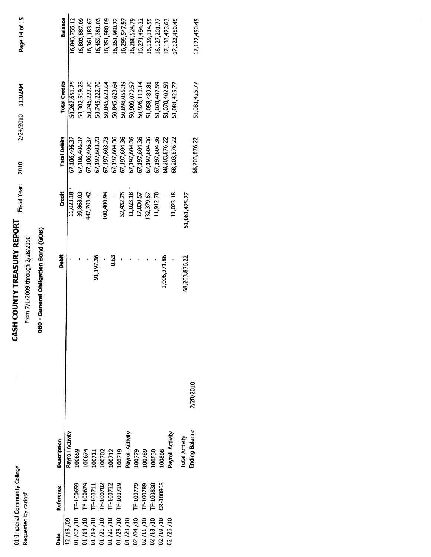| ֧֧֧֧֧֚֚֚֚֚֚֚֚֚֚֚֚֚֚֚֚֚֚֚֚֚֚֚֬֡֡֡֡֬֝֬֝֬֝֩֓֝֬֝ |        |
|----------------------------------------------|--------|
|                                              |        |
|                                              |        |
|                                              | č<br>2 |
|                                              |        |
| ĵ<br>č                                       | ļ      |
|                                              |        |
|                                              |        |

# **CASH COUNTY TREASURY REPORT** Fiscal Year: 2010

2/24/2010 11:02AM

Page 14 of 15

From 7/1/2009 through 2/28/2010

### 080 - General Obligation Bond (GOB)

| <b>Bate</b> | Reference        | Description                 | Debit         | <b>Credit</b> | <b>Total Debits</b> | <b>Total Credits</b> | Balance       |
|-------------|------------------|-----------------------------|---------------|---------------|---------------------|----------------------|---------------|
| 12/18/09    |                  | Payroll Activity            |               | 11,023.18     | 67,106,406.37       |                      |               |
| 11/07/10    | TF-100659        | 100659                      |               |               |                     | 50,262,651.25        | 16,843,755.12 |
|             |                  |                             |               | 39,868.03     | 67,106,406.37       | 50,302,519.28        | 16,803,887.09 |
| 01/14/10    | IF-100674        | 100674                      |               | 442,703.42    | 67,106,406.37       | 50,745,222.70        | 6,361,183.67  |
| 01/19/10    | TF-100711        | 100711                      | 91,197.36     |               | 67,197,603.73       | 0,745,222.70         | 6,452,381.03  |
| 01/21/10    | TF-100702        | 100702                      |               | 00,400.94     | 67,197,603.73       | 0,845,623.64         | 6,351,980.09  |
| 11/21/10    | TF-100712        | 100712                      | 0.63          |               | 67,197,604.36       | 50,845,623.64        | 6,351,980.72  |
| 01/28/10    | IF-100719        | 100719                      |               |               |                     |                      |               |
| 01/29/10    |                  |                             |               | 52,432.75     | 67,197,604.36       | 50,898,056.39        | 6,299,547.97  |
|             |                  | Vivipy llowe                |               | 11,023.18     | 67,197,604.36       | 50,909,079.57        | 6,288,524.79  |
| 02/04/10    | IF-100779        | 100779                      |               | 17,030.57     | 67,197,604.36       | 0,926,110.14         | 16,271,494.22 |
| 02/11/10    | IF-100789        | 100789                      |               | 132,379.67    | 67,197,604.36       | 1,058,489.81         | 16,139,114.55 |
| 02/18/10    | TF-100830        | 100830                      |               | 11,912.78     | 17,197,604.36       | 1,070,402.59         | 6,127,201.77  |
| 12/19/10    | <b>CR-100808</b> | 100808                      | 1,006,271.86  |               | 68,203,876.22       | 1,070,402.59         | 7,133,473.63  |
| 02/26/10    |                  | Vayroll Activity            |               | 1,023.18      | 58,203,876.22       | 1,081,425.77         | 7,122,450.45  |
|             |                  | <b>Total Activity</b>       | 68,203,876.22 | 51,081,425.77 |                     |                      |               |
|             |                  | 2/28/2010<br>Ending Balance |               |               | 68,203,876.22       | 51,081,425.77        | 7,122,450.45  |
|             |                  |                             |               |               |                     |                      |               |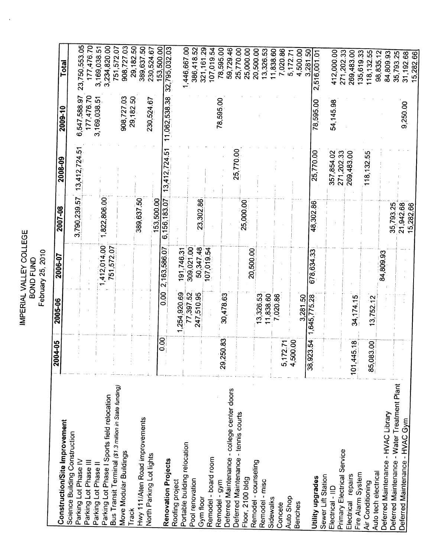IMPERIAL VALLEY COLLEGE February 25, 2010 **BOND FUND** 

23,750,553.05 177,476.70 3,169,038.51 3,234,820.00 908,727.03 29, 182.50 389,637.50 751,572.07 230,524.67 153,500.00 32,795,032.03 1,446,667.00 386,418.52 321,161.29 107,019.54 59,729.46 78,595.00 25,770.00 25,000.00 20,500.00  $13,326.53$ 1,838.60 7,020.86 4,500.00 3,281.50 271,202.33 5,172.71 2,516,001.01 412,000.00 269,483.00 135,619.33 118,132.55 98,835.12 84,809.93 35,793.25 31,192.68 15,282.66 Total 6,547,588.97 177,476.70 13,412,724.51 11,062,538.38 3,169,038.51 908,727.03 29,182.50 230,524.67 78,595.00 78,595.00 54,145.98 9,250.00 2009-10 3,790,239.57 13,412,724.51 25,770.00 25,770.00 271,202.33 269,483.00 118, 132.55 357,854.02 2008-09 1,822,806.00 389,637.50 6,156,183.07 153,500.00 23,302.86 25,000.00 48,302.86 35,793.25 21,942.68 15,282.66 2007-08  $1,412,014.00$ 751,572.07 0.00 2,163,586.07 309,021.00 50,347.48 191,746.31  $07,019.54$ 20,500.00 678,634.33 84,809.93  $2006 - 07$ 77,397.52<br>247,510.95 254,920.69 30,478.63 13,326.53 1,645,775.28 1,838.60 7,020.86 3,281.50 34,174.15 13,752.12 2005-06  $0.00$ 29,250.83 38,923.54 5,172.71 4,500.00  $01,445.18$ 2004-05 85,083.00 Deferred Maintenance - Water Treatment Plant Bus Transit Terminal (\$1.3 million in State funding) Deferred Maintenance - college center doors Parking Lot Phase I Sports field relocation Deferred Maintenance - tennis courts Deferred Maintenance - HVAC Library Hwy 11/Aten Road improvements Deferred Maintenance - HVAC Gym Construction/Site Improvement Science Building Construction Portable building relocation Primary Electrical Service Move Modular Buildings North Parking Lot lights Remodel - board room **Renovation Projects** Remodel - counseling Parking Lot Phase IV Parking Lot Phase III Parking Lot Phase II Auto tech electrical Fire Alarm System Electrical repairs Utility upgrades Sewer Lift Station Floor, 2100 bldg Pool renovation Remodel - gym Roofing project Remodel - misc Air Conditioning Electrical - IID Gym floor Sidewalks Auto Shop **Benches** Concete Track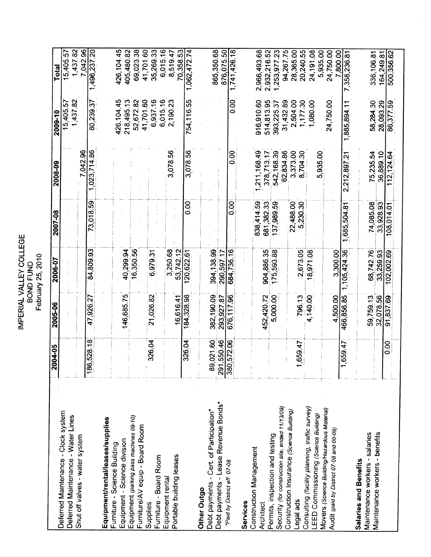IMPERIAL VALLEY COLLEGE<br>BOND FUND<br>February 25, 2010

|                                                                                          | 2004-05                   | 2005-06    | 2006-07      | 2007-08       | 2008-09      | 2009-10     | Total        |
|------------------------------------------------------------------------------------------|---------------------------|------------|--------------|---------------|--------------|-------------|--------------|
| Deferred Maintenance - Clock system                                                      |                           |            |              |               |              |             |              |
| Deferred Maintenance - Water Lines                                                       |                           |            |              |               |              | 15,405.57   | 15,405.57    |
|                                                                                          |                           |            |              |               |              | 1,437.82    | 1,437.82     |
| Shut off valves - water system                                                           |                           |            |              |               | 7.042.96     |             | 7,042.96     |
|                                                                                          | 186,528.18                | 47,926.2   | 84,809.93    | 73,018.59     | 1,023,714.86 | 80,239.37   | 1,496,237.20 |
| Equipment/rental/leases/supplies                                                         |                           |            |              |               |              |             |              |
| Furniture - Science Building                                                             |                           |            |              |               |              |             |              |
|                                                                                          |                           |            |              |               |              | 426,104.45  | 426,104.45   |
| Equipment - Science division                                                             |                           | 146,685.75 | 40,299.94    |               |              | 218,495.13  | 405,480.82   |
| Equipment (parking pass machines 09-10)                                                  |                           |            | 16,350.56    |               |              | 52,672.82   | 69,023.38    |
| Furniture/AV equip - Board Room                                                          |                           |            |              |               |              | 41,701.60   | 41,701.60    |
| Supplies                                                                                 | 326.04                    | 21,026.82  | 6,979.31     |               |              | 6,937.16    | 35,269.33    |
| Furniture - Board Room                                                                   |                           |            |              |               |              | 6,015.16    | 6,015.16     |
| Equipment rental                                                                         |                           |            | 3,250.68     |               | 3,078.56     | 2,190.23    | 8,519.47     |
| Portable building leases                                                                 |                           | 16.616.41  | 53.742.12    |               |              |             | 70.358.53    |
|                                                                                          | 326.04                    | 184,328.98 | 20,622.61    | $\frac{8}{3}$ | 3,078.56     | 754,116.55  | 1,062,472.74 |
| Other Outgo                                                                              |                           |            |              |               |              |             |              |
| Debt payments - Cert. of Participation*                                                  | 031.60<br>$\overline{89}$ | 382,190.09 | 394,138.99   |               |              |             | 865,350.68   |
| Debt payments - Lease Revenue Bonds*                                                     | 291,550.46                | 293,927.87 | 290,597.17   |               |              |             | 876,075.50   |
| Paid by District eff. 07-08                                                              | 380,572.06                | 676,117.96 | 684,736.16   | 0.00          | 80.0         | 80<br>0.0   | 1,741,426.18 |
| Services                                                                                 |                           |            |              |               |              |             |              |
| Construction Management                                                                  |                           |            |              | 838,414.59    | 211, 168.49  | 916,910.60  | 2,966,493.68 |
| <b>Architect</b>                                                                         |                           | 452,420.72 | 904,886.35   | 681,382.33    | 378,713.17   | 514,813.95  | 2,932,216.52 |
| Permits, inspection and testing                                                          |                           | 5,000.00   | 175,593.88   | 137,989.59    | 542,168.39   | 393,225.37  | 1,253,977.23 |
| Security (for construction site, ended 11/13/09)                                         |                           |            |              |               | 62,834.86    | 31,432.89   | 94,267.75    |
| Construction Insurance (Science Building)                                                |                           |            |              | 22,488.00     | 3,373.00     | 2,504.00    | 28,365.00    |
| Legal ads                                                                                | 559.47                    | 796.13     | 2,673.05     | 5,230.30      | 8,704.30     | 1,177.30    | 20,240.55    |
| Consulting (facility planning, traffic survey)                                           |                           | 4,140.00   | 8,971.08     |               |              | ,080.00     | 24,191.08    |
| LEED Commissioning (Science Building)                                                    |                           |            |              |               | 5,935.00     |             | 5,935.00     |
| Movers (Science Building/Hazardous Material)<br>Audit (paid by District 07-08 and 08-09) |                           |            |              |               |              | 24,750.00   | 24,750.00    |
|                                                                                          |                           | 4,500.00   | 3,300.00     |               |              |             | .800.00      |
|                                                                                          | 559.47                    | 466,856.85 | 1,105,424.36 | 1,685,504.81  | 2,212,897.21 | 1,885,894.1 | 7,358,236.81 |
| Maintenance workers - salaries<br><b>Salaries and Benefits</b>                           |                           |            |              |               |              |             |              |
|                                                                                          |                           | 59,759.13  | 68,742.76    | 74,085.08     | 75,235.54    | 58,284.30   | 336,106.81   |
| Maintenance workers - benefits                                                           |                           | 32,078.56  | 33.259.93    | 33,928.93     | 36,889.10    | 28,093.29   | 164,249.81   |
|                                                                                          | 8<br>0.00                 | 91,837.69  | 102,002.69   | 108.014.01    | 112,124.64   | 86,377.59   | 500,356.62   |
|                                                                                          |                           |            |              |               |              |             |              |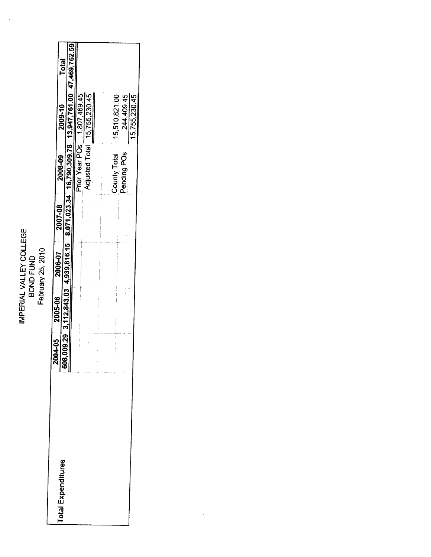IMPERIAL VALLEY COLLEGE<br>BOND FUND<br>February 25, 2010

 $\ddot{\phantom{0}}$ 

| iotal Expenditures |  |  |                             |                                                                                                                                                                                                                         |  |
|--------------------|--|--|-----------------------------|-------------------------------------------------------------------------------------------------------------------------------------------------------------------------------------------------------------------------|--|
|                    |  |  |                             | $\frac{2004-05}{608,009.29} - \frac{2005-06}{3,112,843.03} - \frac{2006-07}{4,939,816,15} - \frac{2007-08}{8,071,023.34} - \frac{2008-09}{16,790,309.78} - \frac{2009-10}{13,947,761.00} - \frac{Total}{47,469,762.59}$ |  |
|                    |  |  |                             | Prior Year POs 1,807,469.45                                                                                                                                                                                             |  |
|                    |  |  |                             | Adjusted Total 15,755,230.45                                                                                                                                                                                            |  |
|                    |  |  |                             |                                                                                                                                                                                                                         |  |
|                    |  |  |                             |                                                                                                                                                                                                                         |  |
|                    |  |  | County Total<br>Pending POs | 15,510,821.00                                                                                                                                                                                                           |  |
|                    |  |  |                             | 244,409.45                                                                                                                                                                                                              |  |
|                    |  |  |                             | 15,755,230.45                                                                                                                                                                                                           |  |
|                    |  |  |                             |                                                                                                                                                                                                                         |  |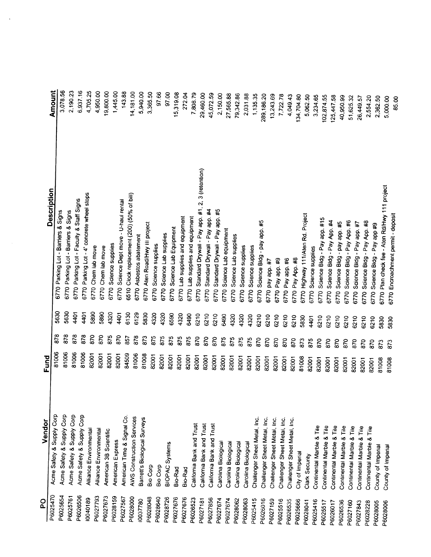| <b>Q</b> | Vendor                       | Fund  |     |      |                                                          |            |
|----------|------------------------------|-------|-----|------|----------------------------------------------------------|------------|
| P6025470 | Acme Safety & Supply Corp    | 81006 | 878 |      | Description                                              | Amount     |
| P6025654 | Acme Safety & Supply Corp    |       |     | 5630 | 6770 Parking Lot - Barriers & Signs                      | 3,078.56   |
| P6025761 |                              | 81006 | 878 | 5630 | 6770 Parking Lot - Barriers & Signs                      | 2,190.23   |
| P6026506 | Acme Safety & Supply Corp    | 81006 | 878 | 4401 | Parking Lot - Faculty & Staff Signs<br>6770              |            |
|          | Acme Safety & Supply Corp    | 81006 | 878 | 4401 | 6770 Parking Lot - 4' concrete wheel stops               | 6,937.16   |
| 10040189 | Alliance Environmental       | 82001 | 870 | 5890 | Chem lab move<br>6770                                    | 4,705.25   |
| P6027793 | Alliance Environmental       | 82001 | 870 | 5890 | 6770                                                     | 4,950.00   |
| P6027673 | American 3B Scientific       | 82001 | 875 | 4320 | Chem lab move                                            | 19,800.00  |
| P6028159 | American Express             | 82001 | 870 |      | Science supplies<br>6770                                 | 1,445.00   |
| P6027567 | American Time & Signal Co.   |       |     | 4401 | Science Dept move - U-haul rental<br>6770                | 143.88     |
| P6028000 | AWS Construction Services    | 84509 | 857 | 6130 | Clock replacement (200) (50% of bill)<br>6510            | 4,181.00   |
| 10037780 |                              | 81006 | 878 | 6129 | Asbestos abatement<br>6770                               | 5,940.00   |
| P6028048 | Barrett's Biological Surveys | 81008 | 873 | 5830 | 6770 Aten Road/Hwy III project                           |            |
| P6028640 | <b>Bio Corp</b>              | 82001 | 875 | 4320 | Science supplies<br>6770                                 | 3,365.50   |
|          | Bio Corp                     | 82001 | 875 | 4320 | Science Lab supplies<br>6770                             | 97.66      |
| P6028726 | <b>BIOPAC Systems</b>        | 82001 | 875 | 6590 | Science Lab Equipment<br>6770                            | 97.00      |
| P6027676 | Bio-Rad                      | 82001 | 875 | 4320 | 6770 Lab supplies and equipment                          | 15,319.08  |
| P6027676 | Bio-Rad                      | 82001 | 875 | 6490 |                                                          | 272.04     |
| P6026523 | California Bank and Trust    | 82001 | 870 | 6210 | 6770 Lab supplies and equipment                          | 7,808.79   |
| P6027181 | California Bank and Trust    | 82001 | 870 |      | Standard Drywall - Pay app. #1, 2, 3 (retention)<br>6770 | 29,460.00  |
| P6027856 | California Bank and Trust    |       |     | 6210 | Standard Drywall - Pay app. #4<br>6770                   | 45,072.59  |
| P6027674 | Carolina Biological          | 82001 | 870 | 6210 | Standard Drywall - Pay app. #5<br>6770                   | 2,150.00   |
| P6027674 |                              | 82001 | 875 | 6490 | Science Lab equipment<br>6770                            |            |
| P6028062 | Carolina Biological          | 82001 | 875 | 4320 | Science Lab supplies<br>6770                             | 27,565.88  |
|          | Carolina Biological          | 82001 | 875 | 4320 | Science supplies<br>6770                                 | 79,342.86  |
| P6028063 | Carolina Biological          | 82001 | 875 | 4320 | 6770                                                     | 2,031.88   |
| P6025415 | Challenger Sheet Metal, Inc. | 82001 | 870 | 6210 | Science supplies                                         | 1,135.35   |
| P6026016 | Challenger Sheet Metal, Inc. | 82001 |     |      | Science Bldg - pay app. #5<br>6770                       | 289,186.20 |
| P6027159 | Challenger Sheet Metal, Inc. |       | 870 | 6210 | 6770 pay app. #7                                         | 13,243.69  |
| P6025516 | Challenger Sheet Metal, Inc. | 82001 | 870 | 6210 | 6770 Pay app. #9                                         | 7,722.78   |
| P6026535 | Challenger Sheet Metal, Inc. | 82001 | 870 | 6210 | 6770 Pay app. #6                                         | 4,049.43   |
| P6025666 | City of Imperial             | 82001 | 870 | 6210 | 6770 Pay App. #8                                         | 134,704.80 |
| P6028041 | Clark Security               | 81008 | 873 | 5830 | 6770 Highway 111/Aten Rd. Project                        | 5,062.50   |
| P6025416 |                              | 82001 | 875 | 4401 | Science supplies<br>6770                                 |            |
|          | Continental Marble & Tile    | 82001 | 870 | 6210 | Science Bldg - Pay app. #15<br>6770                      | 3,234.65   |
| P6025517 | Continental Marble & Tile    | 82001 | 870 | 6210 | Science Bidg - Pay App. #4<br>6770                       | 102,874.55 |
| 7109209c | Continental Marble & Tile    | 82001 | 870 | 6210 | 6770                                                     | 125,447.58 |
| P6026536 | Continental Marble & Tile    | 82001 | 870 | 6210 | Science Bldg - pay app. #5                               | 40,950.99  |
| P6027160 | Continental Marble & Tile    | 82001 | 870 |      | Science Bldg - Pay App. #6<br>6770                       | 51,625.32  |
| P6027843 | Continental Marble & Tile    |       |     | 6210 | Science Bldg - Pay app. #7<br>6770                       | 26,449.57  |
| P6028228 | Continental Marble & Tile    | 82001 | 870 | 6210 | Science Bldg - Pay App. #8<br>6770                       | 2,554.20   |
| 20082005 | County of Imperial           | 82001 | 870 | 6210 | Science Bidg - Pay app #9<br>6770                        | 2,362.50   |
| 20082006 |                              | 81008 | 873 | 5830 | 6770 Plan check fee - Aten Rd/Hwy 111 project            |            |
|          | County of Imperial           | 81008 | 873 | 5830 | 6770 Encroachment permit - deposit                       | 5,000.00   |
|          |                              |       |     |      |                                                          | 85.00      |

l,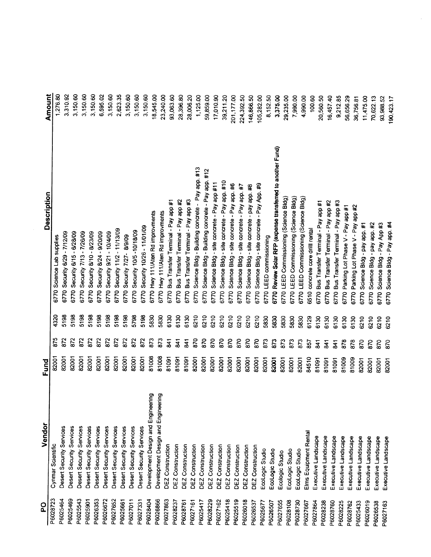| 59,859.00<br>17,010.90<br>39,211.20<br>201,177.00<br>224,392.50<br>146,866.50<br>105,282.00<br>3,375.00<br>29,235.00<br>8,152.50<br>4,990.00<br>6770 Review Solar RFP (expense transferred to another Fund)<br>Science Bldg - Building concrete - Pay app. #13<br>Science Bldg - Building concrete - Pay app. #12<br>Science Bldg - site concrete - Pay app. #10<br>Science Bldg - site concrete - Pay app #11<br>Science Bldg - site concrete - Pay App. #9<br>Science Bldg - site concrete - Pay app. #6<br>Science Bldg - site concrete - Pay app. #7<br>Science Bldg - site concrete - pay app. #8<br>6770 LEED Commissioning (Science Bldg)<br>LEED Commissioning (Science Bldg)<br>LEED Commissioning (Science Bldg)<br>Bus Transfer Terminal - Pay app #2<br>Bus Transfer Terminal - Pay app #3<br>Bus Transfer Terminal - Pay app #1<br>Bus Transfer Terminal - Pay app #2<br>Bus Transfer Terminal - Pay app #3<br>Bus Transfer Terminal - Pay app #1<br>Parking Lot Phase V - Pay app #1<br>Parking Lot Phase V - Pay app #2<br>6770 Hwy 111/Aten Rd improvments<br>6770 Hwy 111/Aten Rd improvments<br>6770 Science Bldg - Pay app. #4<br>Science Bldg - Pay App #3<br>Science Bldg - pay app. #2<br>Science Bldg - pay app. #1<br>Security 10/26 - 11/01/09<br>concrete core drill rental<br>Security 11/2 - 11/13/09<br>Security 10/5-10/18/09<br>Security 7/13 - 7/26/09<br>Security 9/21 - 10/4/09<br>Security 6/29 - 7/12/09<br>Security 6/15 - 6/28/09<br>Security 8/10 - 8/23/09<br>Security 8/24 - 9/20/09<br>Security 7/27-8/9/09<br>LEED commissioning<br>6770 Science Lab supplies<br>6770<br>6770<br>6770<br>6770<br>6770<br>6770<br>6770<br>6770<br>6770<br>6770<br>6770<br>6770<br>6770<br>6770<br>6770<br>6770<br>6770<br>6770<br>6770<br>6770<br>6770<br>6770<br>6510<br>6770<br>6770<br>6770<br>6770<br>6770<br>6770<br>6770<br>6770<br>6770<br>6770<br>5198<br>5198<br>5198<br>5198<br>5198<br>5198<br>5198<br>5198<br>5198<br>5830<br>4320<br>5798<br>5830<br>6130<br>6130<br>6130<br>6210<br>6210<br>6210<br>6210<br>6210<br>6210<br>6210<br>6210<br>5830<br>5830<br>5830<br>5830<br>5830<br>6129<br>6130<br>6130<br>6130<br>6130<br>6130<br>6210<br>6210<br>6210<br>6210<br>875<br>872<br>872<br>872<br>872<br>872<br>872<br>872<br>872<br>872<br>872<br>873<br>873<br>870<br>870<br>870<br>870<br>$\overline{3}$<br>$\frac{5}{4}$<br>$\frac{1}{3}$<br>870<br>870<br>870<br>870<br>873<br>873<br>873<br>873<br>873<br>878<br>878<br>857<br>$\frac{5}{4}$<br>870<br>870<br>870<br>870<br>$\overline{a}$<br>$\overline{3}$<br>81008<br>82001<br>81008<br>82001<br>82001<br>82001<br>82001<br>82001<br>82001<br>82001<br>82001<br>82001<br>82001<br>81091<br>81091<br>81091<br>82001<br>82001<br>82001<br>82001<br>82001<br>82001<br>84510<br>82001<br>82001<br>81009<br>81009<br>82001<br>82001<br>82001<br>82001<br>81091<br>82001<br>81091<br>81091<br>82001<br>82001<br>82001<br>82001<br>Development Design and Engineering<br>ξů<br>Development Design and Engineer<br>Desert Security Services<br>Desert Security Services<br>Desert Security Services<br>Desert Security Services<br>Desert Security Services<br>Desert Security Services<br>Desert Security Services<br>Desert Security Services<br>Desert Security Services<br>Desert Security Services<br>Elms Equipment Rental<br>Executive Landscape<br>Executive Landscape<br>Executive Landscape<br>Executive Landscape<br>Executive Landscape<br>Executive Landscape<br>Executive Landscape<br>Executive Landscape<br>Executive Landscape<br><b>DEZ Construction</b><br><b>DEZ Construction</b><br>Cynmar Scientific<br>DEZ Construction<br>DEZ Construction<br>DEZ Construction<br><b>DEZ Construction</b><br><b>DEZ Construction</b><br><b>DEZ Construction</b><br><b>DEZ Construction</b><br><b>DEZ Construction</b><br>DEZ Construction<br>EcoLogic Studio<br>EcoLogic Studio<br>EcoLogic Studio<br>EcoLogic Studio<br>Ecologic Studio<br>P6028723<br>P6025469<br>P6025464<br>P6025543<br>P6026353<br>P6026672<br>P6027652<br>P6026866<br>P6025901<br>P6027011<br>P6028404<br>P6027863<br>P6028229<br>P6027162<br>P6025418<br>P6025519<br>P6026018<br>P6025661<br>P6027331<br>P6027161<br>P6028237<br>P6028761<br>P6025417<br>P6026537 | po | Vendor | Fund |  | <b>Description</b> | Amount     |
|-----------------------------------------------------------------------------------------------------------------------------------------------------------------------------------------------------------------------------------------------------------------------------------------------------------------------------------------------------------------------------------------------------------------------------------------------------------------------------------------------------------------------------------------------------------------------------------------------------------------------------------------------------------------------------------------------------------------------------------------------------------------------------------------------------------------------------------------------------------------------------------------------------------------------------------------------------------------------------------------------------------------------------------------------------------------------------------------------------------------------------------------------------------------------------------------------------------------------------------------------------------------------------------------------------------------------------------------------------------------------------------------------------------------------------------------------------------------------------------------------------------------------------------------------------------------------------------------------------------------------------------------------------------------------------------------------------------------------------------------------------------------------------------------------------------------------------------------------------------------------------------------------------------------------------------------------------------------------------------------------------------------------------------------------------------------------------------------------------------------------------------------------------------------------------------------------------------------------------------------------------------------------------------------------------------------------------------------------------------------------------------------------------------------------------------------------------------------------------------------------------------------------------------------------------------------------------------------------------------------------------------------------------------------------------------------------------------------------------------------------------------------------------------------------------------------------------------------------------------------------------------------------------------------------------------------------------------------------------------------------------------------------------------------------------------------------------------------------------------------------------------------------------------------------------------------------------------------------------------------------------------------------------------------------------------------------------------------------------------------------------------------------------------------------------------------------------------------------------------------------------------------------------------------------------------------------------------------------------------------------------------------------------------------------------------------------------------------------------------------------------------------------------------------------------------------------------------------------------------------------------------------------------------------------------------------------------------------------------------------------------------------------------------------------------------------------------------------------------------------------------------------------------------------------------------------------------------------------------------------|----|--------|------|--|--------------------|------------|
|                                                                                                                                                                                                                                                                                                                                                                                                                                                                                                                                                                                                                                                                                                                                                                                                                                                                                                                                                                                                                                                                                                                                                                                                                                                                                                                                                                                                                                                                                                                                                                                                                                                                                                                                                                                                                                                                                                                                                                                                                                                                                                                                                                                                                                                                                                                                                                                                                                                                                                                                                                                                                                                                                                                                                                                                                                                                                                                                                                                                                                                                                                                                                                                                                                                                                                                                                                                                                                                                                                                                                                                                                                                                                                                                                                                                                                                                                                                                                                                                                                                                                                                                                                                                                                         |    |        |      |  |                    | 1,276.80   |
|                                                                                                                                                                                                                                                                                                                                                                                                                                                                                                                                                                                                                                                                                                                                                                                                                                                                                                                                                                                                                                                                                                                                                                                                                                                                                                                                                                                                                                                                                                                                                                                                                                                                                                                                                                                                                                                                                                                                                                                                                                                                                                                                                                                                                                                                                                                                                                                                                                                                                                                                                                                                                                                                                                                                                                                                                                                                                                                                                                                                                                                                                                                                                                                                                                                                                                                                                                                                                                                                                                                                                                                                                                                                                                                                                                                                                                                                                                                                                                                                                                                                                                                                                                                                                                         |    |        |      |  |                    | 3,310.92   |
|                                                                                                                                                                                                                                                                                                                                                                                                                                                                                                                                                                                                                                                                                                                                                                                                                                                                                                                                                                                                                                                                                                                                                                                                                                                                                                                                                                                                                                                                                                                                                                                                                                                                                                                                                                                                                                                                                                                                                                                                                                                                                                                                                                                                                                                                                                                                                                                                                                                                                                                                                                                                                                                                                                                                                                                                                                                                                                                                                                                                                                                                                                                                                                                                                                                                                                                                                                                                                                                                                                                                                                                                                                                                                                                                                                                                                                                                                                                                                                                                                                                                                                                                                                                                                                         |    |        |      |  |                    | 3,150.60   |
|                                                                                                                                                                                                                                                                                                                                                                                                                                                                                                                                                                                                                                                                                                                                                                                                                                                                                                                                                                                                                                                                                                                                                                                                                                                                                                                                                                                                                                                                                                                                                                                                                                                                                                                                                                                                                                                                                                                                                                                                                                                                                                                                                                                                                                                                                                                                                                                                                                                                                                                                                                                                                                                                                                                                                                                                                                                                                                                                                                                                                                                                                                                                                                                                                                                                                                                                                                                                                                                                                                                                                                                                                                                                                                                                                                                                                                                                                                                                                                                                                                                                                                                                                                                                                                         |    |        |      |  |                    | 3,150.60   |
|                                                                                                                                                                                                                                                                                                                                                                                                                                                                                                                                                                                                                                                                                                                                                                                                                                                                                                                                                                                                                                                                                                                                                                                                                                                                                                                                                                                                                                                                                                                                                                                                                                                                                                                                                                                                                                                                                                                                                                                                                                                                                                                                                                                                                                                                                                                                                                                                                                                                                                                                                                                                                                                                                                                                                                                                                                                                                                                                                                                                                                                                                                                                                                                                                                                                                                                                                                                                                                                                                                                                                                                                                                                                                                                                                                                                                                                                                                                                                                                                                                                                                                                                                                                                                                         |    |        |      |  |                    | 3,150.60   |
|                                                                                                                                                                                                                                                                                                                                                                                                                                                                                                                                                                                                                                                                                                                                                                                                                                                                                                                                                                                                                                                                                                                                                                                                                                                                                                                                                                                                                                                                                                                                                                                                                                                                                                                                                                                                                                                                                                                                                                                                                                                                                                                                                                                                                                                                                                                                                                                                                                                                                                                                                                                                                                                                                                                                                                                                                                                                                                                                                                                                                                                                                                                                                                                                                                                                                                                                                                                                                                                                                                                                                                                                                                                                                                                                                                                                                                                                                                                                                                                                                                                                                                                                                                                                                                         |    |        |      |  |                    | 6,595.02   |
|                                                                                                                                                                                                                                                                                                                                                                                                                                                                                                                                                                                                                                                                                                                                                                                                                                                                                                                                                                                                                                                                                                                                                                                                                                                                                                                                                                                                                                                                                                                                                                                                                                                                                                                                                                                                                                                                                                                                                                                                                                                                                                                                                                                                                                                                                                                                                                                                                                                                                                                                                                                                                                                                                                                                                                                                                                                                                                                                                                                                                                                                                                                                                                                                                                                                                                                                                                                                                                                                                                                                                                                                                                                                                                                                                                                                                                                                                                                                                                                                                                                                                                                                                                                                                                         |    |        |      |  |                    | 3,150.60   |
|                                                                                                                                                                                                                                                                                                                                                                                                                                                                                                                                                                                                                                                                                                                                                                                                                                                                                                                                                                                                                                                                                                                                                                                                                                                                                                                                                                                                                                                                                                                                                                                                                                                                                                                                                                                                                                                                                                                                                                                                                                                                                                                                                                                                                                                                                                                                                                                                                                                                                                                                                                                                                                                                                                                                                                                                                                                                                                                                                                                                                                                                                                                                                                                                                                                                                                                                                                                                                                                                                                                                                                                                                                                                                                                                                                                                                                                                                                                                                                                                                                                                                                                                                                                                                                         |    |        |      |  |                    | 2,623.35   |
|                                                                                                                                                                                                                                                                                                                                                                                                                                                                                                                                                                                                                                                                                                                                                                                                                                                                                                                                                                                                                                                                                                                                                                                                                                                                                                                                                                                                                                                                                                                                                                                                                                                                                                                                                                                                                                                                                                                                                                                                                                                                                                                                                                                                                                                                                                                                                                                                                                                                                                                                                                                                                                                                                                                                                                                                                                                                                                                                                                                                                                                                                                                                                                                                                                                                                                                                                                                                                                                                                                                                                                                                                                                                                                                                                                                                                                                                                                                                                                                                                                                                                                                                                                                                                                         |    |        |      |  |                    | 3,150.60   |
|                                                                                                                                                                                                                                                                                                                                                                                                                                                                                                                                                                                                                                                                                                                                                                                                                                                                                                                                                                                                                                                                                                                                                                                                                                                                                                                                                                                                                                                                                                                                                                                                                                                                                                                                                                                                                                                                                                                                                                                                                                                                                                                                                                                                                                                                                                                                                                                                                                                                                                                                                                                                                                                                                                                                                                                                                                                                                                                                                                                                                                                                                                                                                                                                                                                                                                                                                                                                                                                                                                                                                                                                                                                                                                                                                                                                                                                                                                                                                                                                                                                                                                                                                                                                                                         |    |        |      |  |                    | 3,150.60   |
|                                                                                                                                                                                                                                                                                                                                                                                                                                                                                                                                                                                                                                                                                                                                                                                                                                                                                                                                                                                                                                                                                                                                                                                                                                                                                                                                                                                                                                                                                                                                                                                                                                                                                                                                                                                                                                                                                                                                                                                                                                                                                                                                                                                                                                                                                                                                                                                                                                                                                                                                                                                                                                                                                                                                                                                                                                                                                                                                                                                                                                                                                                                                                                                                                                                                                                                                                                                                                                                                                                                                                                                                                                                                                                                                                                                                                                                                                                                                                                                                                                                                                                                                                                                                                                         |    |        |      |  |                    | 3,150.60   |
| P6025677                                                                                                                                                                                                                                                                                                                                                                                                                                                                                                                                                                                                                                                                                                                                                                                                                                                                                                                                                                                                                                                                                                                                                                                                                                                                                                                                                                                                                                                                                                                                                                                                                                                                                                                                                                                                                                                                                                                                                                                                                                                                                                                                                                                                                                                                                                                                                                                                                                                                                                                                                                                                                                                                                                                                                                                                                                                                                                                                                                                                                                                                                                                                                                                                                                                                                                                                                                                                                                                                                                                                                                                                                                                                                                                                                                                                                                                                                                                                                                                                                                                                                                                                                                                                                                |    |        |      |  |                    | 18,545.00  |
|                                                                                                                                                                                                                                                                                                                                                                                                                                                                                                                                                                                                                                                                                                                                                                                                                                                                                                                                                                                                                                                                                                                                                                                                                                                                                                                                                                                                                                                                                                                                                                                                                                                                                                                                                                                                                                                                                                                                                                                                                                                                                                                                                                                                                                                                                                                                                                                                                                                                                                                                                                                                                                                                                                                                                                                                                                                                                                                                                                                                                                                                                                                                                                                                                                                                                                                                                                                                                                                                                                                                                                                                                                                                                                                                                                                                                                                                                                                                                                                                                                                                                                                                                                                                                                         |    |        |      |  |                    | 23,240.00  |
|                                                                                                                                                                                                                                                                                                                                                                                                                                                                                                                                                                                                                                                                                                                                                                                                                                                                                                                                                                                                                                                                                                                                                                                                                                                                                                                                                                                                                                                                                                                                                                                                                                                                                                                                                                                                                                                                                                                                                                                                                                                                                                                                                                                                                                                                                                                                                                                                                                                                                                                                                                                                                                                                                                                                                                                                                                                                                                                                                                                                                                                                                                                                                                                                                                                                                                                                                                                                                                                                                                                                                                                                                                                                                                                                                                                                                                                                                                                                                                                                                                                                                                                                                                                                                                         |    |        |      |  |                    | 93,063.60  |
|                                                                                                                                                                                                                                                                                                                                                                                                                                                                                                                                                                                                                                                                                                                                                                                                                                                                                                                                                                                                                                                                                                                                                                                                                                                                                                                                                                                                                                                                                                                                                                                                                                                                                                                                                                                                                                                                                                                                                                                                                                                                                                                                                                                                                                                                                                                                                                                                                                                                                                                                                                                                                                                                                                                                                                                                                                                                                                                                                                                                                                                                                                                                                                                                                                                                                                                                                                                                                                                                                                                                                                                                                                                                                                                                                                                                                                                                                                                                                                                                                                                                                                                                                                                                                                         |    |        |      |  |                    | 28,396.80  |
|                                                                                                                                                                                                                                                                                                                                                                                                                                                                                                                                                                                                                                                                                                                                                                                                                                                                                                                                                                                                                                                                                                                                                                                                                                                                                                                                                                                                                                                                                                                                                                                                                                                                                                                                                                                                                                                                                                                                                                                                                                                                                                                                                                                                                                                                                                                                                                                                                                                                                                                                                                                                                                                                                                                                                                                                                                                                                                                                                                                                                                                                                                                                                                                                                                                                                                                                                                                                                                                                                                                                                                                                                                                                                                                                                                                                                                                                                                                                                                                                                                                                                                                                                                                                                                         |    |        |      |  |                    | 28,006.20  |
|                                                                                                                                                                                                                                                                                                                                                                                                                                                                                                                                                                                                                                                                                                                                                                                                                                                                                                                                                                                                                                                                                                                                                                                                                                                                                                                                                                                                                                                                                                                                                                                                                                                                                                                                                                                                                                                                                                                                                                                                                                                                                                                                                                                                                                                                                                                                                                                                                                                                                                                                                                                                                                                                                                                                                                                                                                                                                                                                                                                                                                                                                                                                                                                                                                                                                                                                                                                                                                                                                                                                                                                                                                                                                                                                                                                                                                                                                                                                                                                                                                                                                                                                                                                                                                         |    |        |      |  |                    | 1,125.00   |
|                                                                                                                                                                                                                                                                                                                                                                                                                                                                                                                                                                                                                                                                                                                                                                                                                                                                                                                                                                                                                                                                                                                                                                                                                                                                                                                                                                                                                                                                                                                                                                                                                                                                                                                                                                                                                                                                                                                                                                                                                                                                                                                                                                                                                                                                                                                                                                                                                                                                                                                                                                                                                                                                                                                                                                                                                                                                                                                                                                                                                                                                                                                                                                                                                                                                                                                                                                                                                                                                                                                                                                                                                                                                                                                                                                                                                                                                                                                                                                                                                                                                                                                                                                                                                                         |    |        |      |  |                    |            |
|                                                                                                                                                                                                                                                                                                                                                                                                                                                                                                                                                                                                                                                                                                                                                                                                                                                                                                                                                                                                                                                                                                                                                                                                                                                                                                                                                                                                                                                                                                                                                                                                                                                                                                                                                                                                                                                                                                                                                                                                                                                                                                                                                                                                                                                                                                                                                                                                                                                                                                                                                                                                                                                                                                                                                                                                                                                                                                                                                                                                                                                                                                                                                                                                                                                                                                                                                                                                                                                                                                                                                                                                                                                                                                                                                                                                                                                                                                                                                                                                                                                                                                                                                                                                                                         |    |        |      |  |                    |            |
|                                                                                                                                                                                                                                                                                                                                                                                                                                                                                                                                                                                                                                                                                                                                                                                                                                                                                                                                                                                                                                                                                                                                                                                                                                                                                                                                                                                                                                                                                                                                                                                                                                                                                                                                                                                                                                                                                                                                                                                                                                                                                                                                                                                                                                                                                                                                                                                                                                                                                                                                                                                                                                                                                                                                                                                                                                                                                                                                                                                                                                                                                                                                                                                                                                                                                                                                                                                                                                                                                                                                                                                                                                                                                                                                                                                                                                                                                                                                                                                                                                                                                                                                                                                                                                         |    |        |      |  |                    |            |
|                                                                                                                                                                                                                                                                                                                                                                                                                                                                                                                                                                                                                                                                                                                                                                                                                                                                                                                                                                                                                                                                                                                                                                                                                                                                                                                                                                                                                                                                                                                                                                                                                                                                                                                                                                                                                                                                                                                                                                                                                                                                                                                                                                                                                                                                                                                                                                                                                                                                                                                                                                                                                                                                                                                                                                                                                                                                                                                                                                                                                                                                                                                                                                                                                                                                                                                                                                                                                                                                                                                                                                                                                                                                                                                                                                                                                                                                                                                                                                                                                                                                                                                                                                                                                                         |    |        |      |  |                    |            |
|                                                                                                                                                                                                                                                                                                                                                                                                                                                                                                                                                                                                                                                                                                                                                                                                                                                                                                                                                                                                                                                                                                                                                                                                                                                                                                                                                                                                                                                                                                                                                                                                                                                                                                                                                                                                                                                                                                                                                                                                                                                                                                                                                                                                                                                                                                                                                                                                                                                                                                                                                                                                                                                                                                                                                                                                                                                                                                                                                                                                                                                                                                                                                                                                                                                                                                                                                                                                                                                                                                                                                                                                                                                                                                                                                                                                                                                                                                                                                                                                                                                                                                                                                                                                                                         |    |        |      |  |                    |            |
|                                                                                                                                                                                                                                                                                                                                                                                                                                                                                                                                                                                                                                                                                                                                                                                                                                                                                                                                                                                                                                                                                                                                                                                                                                                                                                                                                                                                                                                                                                                                                                                                                                                                                                                                                                                                                                                                                                                                                                                                                                                                                                                                                                                                                                                                                                                                                                                                                                                                                                                                                                                                                                                                                                                                                                                                                                                                                                                                                                                                                                                                                                                                                                                                                                                                                                                                                                                                                                                                                                                                                                                                                                                                                                                                                                                                                                                                                                                                                                                                                                                                                                                                                                                                                                         |    |        |      |  |                    |            |
| P6028108<br>P6027655<br>P6028730<br>P6028238<br>P6026507<br>P6027667<br>P6027864<br>P6028760<br>P6028225<br>P6026019<br>P6028762<br>P6025433<br>P6026538<br>P6027163                                                                                                                                                                                                                                                                                                                                                                                                                                                                                                                                                                                                                                                                                                                                                                                                                                                                                                                                                                                                                                                                                                                                                                                                                                                                                                                                                                                                                                                                                                                                                                                                                                                                                                                                                                                                                                                                                                                                                                                                                                                                                                                                                                                                                                                                                                                                                                                                                                                                                                                                                                                                                                                                                                                                                                                                                                                                                                                                                                                                                                                                                                                                                                                                                                                                                                                                                                                                                                                                                                                                                                                                                                                                                                                                                                                                                                                                                                                                                                                                                                                                    |    |        |      |  |                    |            |
|                                                                                                                                                                                                                                                                                                                                                                                                                                                                                                                                                                                                                                                                                                                                                                                                                                                                                                                                                                                                                                                                                                                                                                                                                                                                                                                                                                                                                                                                                                                                                                                                                                                                                                                                                                                                                                                                                                                                                                                                                                                                                                                                                                                                                                                                                                                                                                                                                                                                                                                                                                                                                                                                                                                                                                                                                                                                                                                                                                                                                                                                                                                                                                                                                                                                                                                                                                                                                                                                                                                                                                                                                                                                                                                                                                                                                                                                                                                                                                                                                                                                                                                                                                                                                                         |    |        |      |  |                    |            |
|                                                                                                                                                                                                                                                                                                                                                                                                                                                                                                                                                                                                                                                                                                                                                                                                                                                                                                                                                                                                                                                                                                                                                                                                                                                                                                                                                                                                                                                                                                                                                                                                                                                                                                                                                                                                                                                                                                                                                                                                                                                                                                                                                                                                                                                                                                                                                                                                                                                                                                                                                                                                                                                                                                                                                                                                                                                                                                                                                                                                                                                                                                                                                                                                                                                                                                                                                                                                                                                                                                                                                                                                                                                                                                                                                                                                                                                                                                                                                                                                                                                                                                                                                                                                                                         |    |        |      |  |                    |            |
|                                                                                                                                                                                                                                                                                                                                                                                                                                                                                                                                                                                                                                                                                                                                                                                                                                                                                                                                                                                                                                                                                                                                                                                                                                                                                                                                                                                                                                                                                                                                                                                                                                                                                                                                                                                                                                                                                                                                                                                                                                                                                                                                                                                                                                                                                                                                                                                                                                                                                                                                                                                                                                                                                                                                                                                                                                                                                                                                                                                                                                                                                                                                                                                                                                                                                                                                                                                                                                                                                                                                                                                                                                                                                                                                                                                                                                                                                                                                                                                                                                                                                                                                                                                                                                         |    |        |      |  |                    |            |
|                                                                                                                                                                                                                                                                                                                                                                                                                                                                                                                                                                                                                                                                                                                                                                                                                                                                                                                                                                                                                                                                                                                                                                                                                                                                                                                                                                                                                                                                                                                                                                                                                                                                                                                                                                                                                                                                                                                                                                                                                                                                                                                                                                                                                                                                                                                                                                                                                                                                                                                                                                                                                                                                                                                                                                                                                                                                                                                                                                                                                                                                                                                                                                                                                                                                                                                                                                                                                                                                                                                                                                                                                                                                                                                                                                                                                                                                                                                                                                                                                                                                                                                                                                                                                                         |    |        |      |  |                    |            |
|                                                                                                                                                                                                                                                                                                                                                                                                                                                                                                                                                                                                                                                                                                                                                                                                                                                                                                                                                                                                                                                                                                                                                                                                                                                                                                                                                                                                                                                                                                                                                                                                                                                                                                                                                                                                                                                                                                                                                                                                                                                                                                                                                                                                                                                                                                                                                                                                                                                                                                                                                                                                                                                                                                                                                                                                                                                                                                                                                                                                                                                                                                                                                                                                                                                                                                                                                                                                                                                                                                                                                                                                                                                                                                                                                                                                                                                                                                                                                                                                                                                                                                                                                                                                                                         |    |        |      |  |                    | 7,990.00   |
|                                                                                                                                                                                                                                                                                                                                                                                                                                                                                                                                                                                                                                                                                                                                                                                                                                                                                                                                                                                                                                                                                                                                                                                                                                                                                                                                                                                                                                                                                                                                                                                                                                                                                                                                                                                                                                                                                                                                                                                                                                                                                                                                                                                                                                                                                                                                                                                                                                                                                                                                                                                                                                                                                                                                                                                                                                                                                                                                                                                                                                                                                                                                                                                                                                                                                                                                                                                                                                                                                                                                                                                                                                                                                                                                                                                                                                                                                                                                                                                                                                                                                                                                                                                                                                         |    |        |      |  |                    |            |
|                                                                                                                                                                                                                                                                                                                                                                                                                                                                                                                                                                                                                                                                                                                                                                                                                                                                                                                                                                                                                                                                                                                                                                                                                                                                                                                                                                                                                                                                                                                                                                                                                                                                                                                                                                                                                                                                                                                                                                                                                                                                                                                                                                                                                                                                                                                                                                                                                                                                                                                                                                                                                                                                                                                                                                                                                                                                                                                                                                                                                                                                                                                                                                                                                                                                                                                                                                                                                                                                                                                                                                                                                                                                                                                                                                                                                                                                                                                                                                                                                                                                                                                                                                                                                                         |    |        |      |  |                    | 100.60     |
|                                                                                                                                                                                                                                                                                                                                                                                                                                                                                                                                                                                                                                                                                                                                                                                                                                                                                                                                                                                                                                                                                                                                                                                                                                                                                                                                                                                                                                                                                                                                                                                                                                                                                                                                                                                                                                                                                                                                                                                                                                                                                                                                                                                                                                                                                                                                                                                                                                                                                                                                                                                                                                                                                                                                                                                                                                                                                                                                                                                                                                                                                                                                                                                                                                                                                                                                                                                                                                                                                                                                                                                                                                                                                                                                                                                                                                                                                                                                                                                                                                                                                                                                                                                                                                         |    |        |      |  |                    | 20,560.50  |
|                                                                                                                                                                                                                                                                                                                                                                                                                                                                                                                                                                                                                                                                                                                                                                                                                                                                                                                                                                                                                                                                                                                                                                                                                                                                                                                                                                                                                                                                                                                                                                                                                                                                                                                                                                                                                                                                                                                                                                                                                                                                                                                                                                                                                                                                                                                                                                                                                                                                                                                                                                                                                                                                                                                                                                                                                                                                                                                                                                                                                                                                                                                                                                                                                                                                                                                                                                                                                                                                                                                                                                                                                                                                                                                                                                                                                                                                                                                                                                                                                                                                                                                                                                                                                                         |    |        |      |  |                    | 16,457.40  |
|                                                                                                                                                                                                                                                                                                                                                                                                                                                                                                                                                                                                                                                                                                                                                                                                                                                                                                                                                                                                                                                                                                                                                                                                                                                                                                                                                                                                                                                                                                                                                                                                                                                                                                                                                                                                                                                                                                                                                                                                                                                                                                                                                                                                                                                                                                                                                                                                                                                                                                                                                                                                                                                                                                                                                                                                                                                                                                                                                                                                                                                                                                                                                                                                                                                                                                                                                                                                                                                                                                                                                                                                                                                                                                                                                                                                                                                                                                                                                                                                                                                                                                                                                                                                                                         |    |        |      |  |                    | 9,212.85   |
|                                                                                                                                                                                                                                                                                                                                                                                                                                                                                                                                                                                                                                                                                                                                                                                                                                                                                                                                                                                                                                                                                                                                                                                                                                                                                                                                                                                                                                                                                                                                                                                                                                                                                                                                                                                                                                                                                                                                                                                                                                                                                                                                                                                                                                                                                                                                                                                                                                                                                                                                                                                                                                                                                                                                                                                                                                                                                                                                                                                                                                                                                                                                                                                                                                                                                                                                                                                                                                                                                                                                                                                                                                                                                                                                                                                                                                                                                                                                                                                                                                                                                                                                                                                                                                         |    |        |      |  |                    | 56,656.29  |
|                                                                                                                                                                                                                                                                                                                                                                                                                                                                                                                                                                                                                                                                                                                                                                                                                                                                                                                                                                                                                                                                                                                                                                                                                                                                                                                                                                                                                                                                                                                                                                                                                                                                                                                                                                                                                                                                                                                                                                                                                                                                                                                                                                                                                                                                                                                                                                                                                                                                                                                                                                                                                                                                                                                                                                                                                                                                                                                                                                                                                                                                                                                                                                                                                                                                                                                                                                                                                                                                                                                                                                                                                                                                                                                                                                                                                                                                                                                                                                                                                                                                                                                                                                                                                                         |    |        |      |  |                    | 36,756.81  |
|                                                                                                                                                                                                                                                                                                                                                                                                                                                                                                                                                                                                                                                                                                                                                                                                                                                                                                                                                                                                                                                                                                                                                                                                                                                                                                                                                                                                                                                                                                                                                                                                                                                                                                                                                                                                                                                                                                                                                                                                                                                                                                                                                                                                                                                                                                                                                                                                                                                                                                                                                                                                                                                                                                                                                                                                                                                                                                                                                                                                                                                                                                                                                                                                                                                                                                                                                                                                                                                                                                                                                                                                                                                                                                                                                                                                                                                                                                                                                                                                                                                                                                                                                                                                                                         |    |        |      |  |                    | 11,475.00  |
|                                                                                                                                                                                                                                                                                                                                                                                                                                                                                                                                                                                                                                                                                                                                                                                                                                                                                                                                                                                                                                                                                                                                                                                                                                                                                                                                                                                                                                                                                                                                                                                                                                                                                                                                                                                                                                                                                                                                                                                                                                                                                                                                                                                                                                                                                                                                                                                                                                                                                                                                                                                                                                                                                                                                                                                                                                                                                                                                                                                                                                                                                                                                                                                                                                                                                                                                                                                                                                                                                                                                                                                                                                                                                                                                                                                                                                                                                                                                                                                                                                                                                                                                                                                                                                         |    |        |      |  |                    | 70,622.13  |
|                                                                                                                                                                                                                                                                                                                                                                                                                                                                                                                                                                                                                                                                                                                                                                                                                                                                                                                                                                                                                                                                                                                                                                                                                                                                                                                                                                                                                                                                                                                                                                                                                                                                                                                                                                                                                                                                                                                                                                                                                                                                                                                                                                                                                                                                                                                                                                                                                                                                                                                                                                                                                                                                                                                                                                                                                                                                                                                                                                                                                                                                                                                                                                                                                                                                                                                                                                                                                                                                                                                                                                                                                                                                                                                                                                                                                                                                                                                                                                                                                                                                                                                                                                                                                                         |    |        |      |  |                    | 93,988.52  |
|                                                                                                                                                                                                                                                                                                                                                                                                                                                                                                                                                                                                                                                                                                                                                                                                                                                                                                                                                                                                                                                                                                                                                                                                                                                                                                                                                                                                                                                                                                                                                                                                                                                                                                                                                                                                                                                                                                                                                                                                                                                                                                                                                                                                                                                                                                                                                                                                                                                                                                                                                                                                                                                                                                                                                                                                                                                                                                                                                                                                                                                                                                                                                                                                                                                                                                                                                                                                                                                                                                                                                                                                                                                                                                                                                                                                                                                                                                                                                                                                                                                                                                                                                                                                                                         |    |        |      |  |                    | 190,423.17 |

 $\frac{1}{\sqrt{2}}\int_{0}^{\sqrt{2}}\frac{1}{\sqrt{2}}\left( \frac{1}{2}\right) ^{2}d\mu$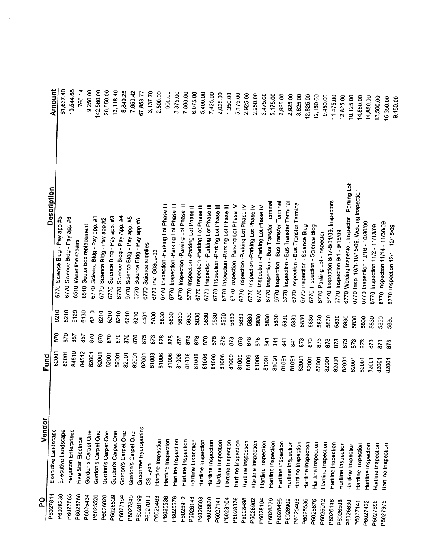| 6770 Welding Inspector, Inspector - Parking Lot<br>6770 Insp. 10/1-10/15/09, Welding Inspection<br>6770 Inspection 8/17-8/31/09, Inspectors<br>6770 Inspection - Bus Transfer Terminal<br>6770 Inspection - Bus Transfer Terminal<br>6770 Inspection - Bus Transfer Terminal<br>6770 Inspection - Bus Transfer Terminal<br>6770 Inspection -Parking Lot Phase III<br>6770 Inspection -Parking Lot Phase III<br>6770 Inspection -Parking Lot Phase III<br>6770 Inspection -Parking Lot Phase III<br>6770 Inspection -Parking Lot Phase III<br>6770 Inspection -Parking Lot Phase IV<br>6770 Inspection -Parking Lot Phase III<br>6770 Inspection -Parking Lot Phase III<br>6770 Inspection -Parking Lot Phase III<br>6770 Inspection -Parking Lot Phase IV<br>6770 Inspection -Parking Lot Phase IV<br>6770 Inspection -Parking Lot Phase IV<br>Science Bldg - Pay App. #4<br>Science Bldg - Pay app. #3<br>Science Bldg - Pay app. #5<br>Science Bldg - Pay app #5<br>Science Bldg - Pay app. #1<br>Science Bldg - Pay app #6<br>Science Bldg - Pay app #2<br>Science Bldg - Pay app #6<br>6770 Inspection 11/14 - 11/30/09<br>6770 Inspection 10/16 - 10/30/09<br>Sector box replacement<br>6770 Inspection 11/2 - 11/13/09<br>6770 Inspection - Science Bidg<br>6770 Inspection - Science Bldg<br>6770 Inspection 12/1 - 12/15/09<br>6770 Inspection 9/1 - 9/15/09<br>6770 Parking Lot - Inspector<br>6510 Water line repairs<br>Science supplies<br>6770 Inv. G0809-03<br>6770<br>6770<br>6510<br>6770<br>6770<br>6770<br>6770<br>6770<br>6770<br>6770<br>6210<br>6210<br>6129<br>6130<br>6210<br>6210<br>6210<br>6210<br>6210<br>6210<br>4401<br>5830<br>5830<br>5830<br>5830<br>5830<br>5830<br>5830<br>5830<br>5830<br>5830<br>5830<br>5830<br>5830<br>5830<br>5830<br>5830<br>5830<br>5830<br>5830<br>5830<br>5830<br>5830<br>5830<br>5830<br>5830<br>5830<br>5830<br>5830<br>870<br>870<br>857<br>870<br>870<br>870<br>857<br>870<br>870<br>870<br>875<br>873<br>878<br>878<br>878<br>878<br>878<br>878<br>878<br>878<br>878<br>878<br>878<br>878<br>$\overline{3}$<br>$\frac{1}{3}$<br>$\frac{1}{3}$<br>$\overline{3}$<br>873<br>873<br>873<br>873<br>873<br>873<br>873<br>873<br>873<br>873<br>873<br>84510<br>82001<br>84512<br>82001<br>82001<br>82001<br>82001<br>82001<br>82001<br>81008<br>81006<br>81006<br>82001<br>81006<br>81006<br>81006<br>82001<br>81006<br>Fund<br>81006<br>81006<br>81009<br>81009<br>81009<br>81009<br>81091<br>81091<br>81091<br>81091<br>82001<br>82001<br>82001<br>82001<br>82001<br>82001<br>82001<br>82001<br>82001<br>82001<br>82001<br>Greentree Hydroponics<br>Executive Landscape<br>Ferguson Enterprises<br>Executive Landscape<br>Gordon's Carpet One<br>Gordon's Carpet One<br>Gordon's Carpet One<br>Gordon's Carpet One<br>Gordon's Carpet One<br>Gordon's Carpet One<br>Five Star Electrical<br>Hartline Inspection<br>Hartline Inspection<br>Hartline Inspection<br>Hartline Inspection<br>Hartline Inspection<br>Hartline Inspection<br>Hartline Inspection<br>Hartline Inspection<br>Hartline Inspection<br>Hartline Inspection<br>Hartline Inspection<br>Hartline Inspection<br>Hartline Inspection<br>Hartline Inspection<br>Hartline Inspection<br>Hartline Inspection<br>Hartline Inspection<br>Hartline Inspection<br>Hartline Inspection<br>Hartline Inspection<br>Hartline Inspection<br>Hartline Inspection<br>Hartline Inspection<br>Hartline Inspection<br>Hartline Inspection<br>Hartline Inspection<br>Hartline Inspection<br>GS Lyon<br>P6027844<br>P6028768<br>P6028230<br>P6027665<br>P6025434<br>P6025520<br>P6026020<br>P6026539<br>P6027845<br>P6027164<br>P6028199<br>P6027013<br>P6025463<br>P6025536<br>P6025676<br>P6025912<br>P6026148<br>P6026508<br>P6026830<br>P6028104<br>P6028376<br>P6027141<br>P6028498<br>P6028902<br>P6028376<br>P6028104<br>P6028498<br>P6025463<br>P6028902<br>P6025536<br>P6025676<br>P6025912<br>P6026148<br>P6026508<br>P6026830<br>P6027141<br>P6027656<br>P6027432<br>P6027975 |  |  |             |            |
|--------------------------------------------------------------------------------------------------------------------------------------------------------------------------------------------------------------------------------------------------------------------------------------------------------------------------------------------------------------------------------------------------------------------------------------------------------------------------------------------------------------------------------------------------------------------------------------------------------------------------------------------------------------------------------------------------------------------------------------------------------------------------------------------------------------------------------------------------------------------------------------------------------------------------------------------------------------------------------------------------------------------------------------------------------------------------------------------------------------------------------------------------------------------------------------------------------------------------------------------------------------------------------------------------------------------------------------------------------------------------------------------------------------------------------------------------------------------------------------------------------------------------------------------------------------------------------------------------------------------------------------------------------------------------------------------------------------------------------------------------------------------------------------------------------------------------------------------------------------------------------------------------------------------------------------------------------------------------------------------------------------------------------------------------------------------------------------------------------------------------------------------------------------------------------------------------------------------------------------------------------------------------------------------------------------------------------------------------------------------------------------------------------------------------------------------------------------------------------------------------------------------------------------------------------------------------------------------------------------------------------------------------------------------------------------------------------------------------------------------------------------------------------------------------------------------------------------------------------------------------------------------------------------------------------------------------------------------------------------------------------------------------------------------------------------------------------------------------------------------------------------------------------------------------------------------------------------------------------------------------------------------------------------------------------------------------------------------------------------------------------------------------------------------------------------------------------------------------------------------------------------------------------------------------------------------------------------------------------------------------------------------------------------------------------------------------------------------------------------------------------------------------------------------------------------------------------------------------------------------------------------------------------------------------------------------------------------------------------------------------|--|--|-------------|------------|
|                                                                                                                                                                                                                                                                                                                                                                                                                                                                                                                                                                                                                                                                                                                                                                                                                                                                                                                                                                                                                                                                                                                                                                                                                                                                                                                                                                                                                                                                                                                                                                                                                                                                                                                                                                                                                                                                                                                                                                                                                                                                                                                                                                                                                                                                                                                                                                                                                                                                                                                                                                                                                                                                                                                                                                                                                                                                                                                                                                                                                                                                                                                                                                                                                                                                                                                                                                                                                                                                                                                                                                                                                                                                                                                                                                                                                                                                                                                                                                                                  |  |  | Description | Amount     |
|                                                                                                                                                                                                                                                                                                                                                                                                                                                                                                                                                                                                                                                                                                                                                                                                                                                                                                                                                                                                                                                                                                                                                                                                                                                                                                                                                                                                                                                                                                                                                                                                                                                                                                                                                                                                                                                                                                                                                                                                                                                                                                                                                                                                                                                                                                                                                                                                                                                                                                                                                                                                                                                                                                                                                                                                                                                                                                                                                                                                                                                                                                                                                                                                                                                                                                                                                                                                                                                                                                                                                                                                                                                                                                                                                                                                                                                                                                                                                                                                  |  |  |             | 61,637.40  |
|                                                                                                                                                                                                                                                                                                                                                                                                                                                                                                                                                                                                                                                                                                                                                                                                                                                                                                                                                                                                                                                                                                                                                                                                                                                                                                                                                                                                                                                                                                                                                                                                                                                                                                                                                                                                                                                                                                                                                                                                                                                                                                                                                                                                                                                                                                                                                                                                                                                                                                                                                                                                                                                                                                                                                                                                                                                                                                                                                                                                                                                                                                                                                                                                                                                                                                                                                                                                                                                                                                                                                                                                                                                                                                                                                                                                                                                                                                                                                                                                  |  |  |             | 10,544.68  |
|                                                                                                                                                                                                                                                                                                                                                                                                                                                                                                                                                                                                                                                                                                                                                                                                                                                                                                                                                                                                                                                                                                                                                                                                                                                                                                                                                                                                                                                                                                                                                                                                                                                                                                                                                                                                                                                                                                                                                                                                                                                                                                                                                                                                                                                                                                                                                                                                                                                                                                                                                                                                                                                                                                                                                                                                                                                                                                                                                                                                                                                                                                                                                                                                                                                                                                                                                                                                                                                                                                                                                                                                                                                                                                                                                                                                                                                                                                                                                                                                  |  |  |             | 760.14     |
|                                                                                                                                                                                                                                                                                                                                                                                                                                                                                                                                                                                                                                                                                                                                                                                                                                                                                                                                                                                                                                                                                                                                                                                                                                                                                                                                                                                                                                                                                                                                                                                                                                                                                                                                                                                                                                                                                                                                                                                                                                                                                                                                                                                                                                                                                                                                                                                                                                                                                                                                                                                                                                                                                                                                                                                                                                                                                                                                                                                                                                                                                                                                                                                                                                                                                                                                                                                                                                                                                                                                                                                                                                                                                                                                                                                                                                                                                                                                                                                                  |  |  |             | 9,250.00   |
|                                                                                                                                                                                                                                                                                                                                                                                                                                                                                                                                                                                                                                                                                                                                                                                                                                                                                                                                                                                                                                                                                                                                                                                                                                                                                                                                                                                                                                                                                                                                                                                                                                                                                                                                                                                                                                                                                                                                                                                                                                                                                                                                                                                                                                                                                                                                                                                                                                                                                                                                                                                                                                                                                                                                                                                                                                                                                                                                                                                                                                                                                                                                                                                                                                                                                                                                                                                                                                                                                                                                                                                                                                                                                                                                                                                                                                                                                                                                                                                                  |  |  |             | 142,560.00 |
|                                                                                                                                                                                                                                                                                                                                                                                                                                                                                                                                                                                                                                                                                                                                                                                                                                                                                                                                                                                                                                                                                                                                                                                                                                                                                                                                                                                                                                                                                                                                                                                                                                                                                                                                                                                                                                                                                                                                                                                                                                                                                                                                                                                                                                                                                                                                                                                                                                                                                                                                                                                                                                                                                                                                                                                                                                                                                                                                                                                                                                                                                                                                                                                                                                                                                                                                                                                                                                                                                                                                                                                                                                                                                                                                                                                                                                                                                                                                                                                                  |  |  |             | 26,550.00  |
|                                                                                                                                                                                                                                                                                                                                                                                                                                                                                                                                                                                                                                                                                                                                                                                                                                                                                                                                                                                                                                                                                                                                                                                                                                                                                                                                                                                                                                                                                                                                                                                                                                                                                                                                                                                                                                                                                                                                                                                                                                                                                                                                                                                                                                                                                                                                                                                                                                                                                                                                                                                                                                                                                                                                                                                                                                                                                                                                                                                                                                                                                                                                                                                                                                                                                                                                                                                                                                                                                                                                                                                                                                                                                                                                                                                                                                                                                                                                                                                                  |  |  |             |            |
|                                                                                                                                                                                                                                                                                                                                                                                                                                                                                                                                                                                                                                                                                                                                                                                                                                                                                                                                                                                                                                                                                                                                                                                                                                                                                                                                                                                                                                                                                                                                                                                                                                                                                                                                                                                                                                                                                                                                                                                                                                                                                                                                                                                                                                                                                                                                                                                                                                                                                                                                                                                                                                                                                                                                                                                                                                                                                                                                                                                                                                                                                                                                                                                                                                                                                                                                                                                                                                                                                                                                                                                                                                                                                                                                                                                                                                                                                                                                                                                                  |  |  |             | 13,118.40  |
|                                                                                                                                                                                                                                                                                                                                                                                                                                                                                                                                                                                                                                                                                                                                                                                                                                                                                                                                                                                                                                                                                                                                                                                                                                                                                                                                                                                                                                                                                                                                                                                                                                                                                                                                                                                                                                                                                                                                                                                                                                                                                                                                                                                                                                                                                                                                                                                                                                                                                                                                                                                                                                                                                                                                                                                                                                                                                                                                                                                                                                                                                                                                                                                                                                                                                                                                                                                                                                                                                                                                                                                                                                                                                                                                                                                                                                                                                                                                                                                                  |  |  |             | 8,849.25   |
|                                                                                                                                                                                                                                                                                                                                                                                                                                                                                                                                                                                                                                                                                                                                                                                                                                                                                                                                                                                                                                                                                                                                                                                                                                                                                                                                                                                                                                                                                                                                                                                                                                                                                                                                                                                                                                                                                                                                                                                                                                                                                                                                                                                                                                                                                                                                                                                                                                                                                                                                                                                                                                                                                                                                                                                                                                                                                                                                                                                                                                                                                                                                                                                                                                                                                                                                                                                                                                                                                                                                                                                                                                                                                                                                                                                                                                                                                                                                                                                                  |  |  |             | 7,950.42   |
|                                                                                                                                                                                                                                                                                                                                                                                                                                                                                                                                                                                                                                                                                                                                                                                                                                                                                                                                                                                                                                                                                                                                                                                                                                                                                                                                                                                                                                                                                                                                                                                                                                                                                                                                                                                                                                                                                                                                                                                                                                                                                                                                                                                                                                                                                                                                                                                                                                                                                                                                                                                                                                                                                                                                                                                                                                                                                                                                                                                                                                                                                                                                                                                                                                                                                                                                                                                                                                                                                                                                                                                                                                                                                                                                                                                                                                                                                                                                                                                                  |  |  |             | 67,853.77  |
|                                                                                                                                                                                                                                                                                                                                                                                                                                                                                                                                                                                                                                                                                                                                                                                                                                                                                                                                                                                                                                                                                                                                                                                                                                                                                                                                                                                                                                                                                                                                                                                                                                                                                                                                                                                                                                                                                                                                                                                                                                                                                                                                                                                                                                                                                                                                                                                                                                                                                                                                                                                                                                                                                                                                                                                                                                                                                                                                                                                                                                                                                                                                                                                                                                                                                                                                                                                                                                                                                                                                                                                                                                                                                                                                                                                                                                                                                                                                                                                                  |  |  |             | 3,137.78   |
|                                                                                                                                                                                                                                                                                                                                                                                                                                                                                                                                                                                                                                                                                                                                                                                                                                                                                                                                                                                                                                                                                                                                                                                                                                                                                                                                                                                                                                                                                                                                                                                                                                                                                                                                                                                                                                                                                                                                                                                                                                                                                                                                                                                                                                                                                                                                                                                                                                                                                                                                                                                                                                                                                                                                                                                                                                                                                                                                                                                                                                                                                                                                                                                                                                                                                                                                                                                                                                                                                                                                                                                                                                                                                                                                                                                                                                                                                                                                                                                                  |  |  |             | 2,500.00   |
|                                                                                                                                                                                                                                                                                                                                                                                                                                                                                                                                                                                                                                                                                                                                                                                                                                                                                                                                                                                                                                                                                                                                                                                                                                                                                                                                                                                                                                                                                                                                                                                                                                                                                                                                                                                                                                                                                                                                                                                                                                                                                                                                                                                                                                                                                                                                                                                                                                                                                                                                                                                                                                                                                                                                                                                                                                                                                                                                                                                                                                                                                                                                                                                                                                                                                                                                                                                                                                                                                                                                                                                                                                                                                                                                                                                                                                                                                                                                                                                                  |  |  |             | 900.00     |
|                                                                                                                                                                                                                                                                                                                                                                                                                                                                                                                                                                                                                                                                                                                                                                                                                                                                                                                                                                                                                                                                                                                                                                                                                                                                                                                                                                                                                                                                                                                                                                                                                                                                                                                                                                                                                                                                                                                                                                                                                                                                                                                                                                                                                                                                                                                                                                                                                                                                                                                                                                                                                                                                                                                                                                                                                                                                                                                                                                                                                                                                                                                                                                                                                                                                                                                                                                                                                                                                                                                                                                                                                                                                                                                                                                                                                                                                                                                                                                                                  |  |  |             | 3,375.00   |
|                                                                                                                                                                                                                                                                                                                                                                                                                                                                                                                                                                                                                                                                                                                                                                                                                                                                                                                                                                                                                                                                                                                                                                                                                                                                                                                                                                                                                                                                                                                                                                                                                                                                                                                                                                                                                                                                                                                                                                                                                                                                                                                                                                                                                                                                                                                                                                                                                                                                                                                                                                                                                                                                                                                                                                                                                                                                                                                                                                                                                                                                                                                                                                                                                                                                                                                                                                                                                                                                                                                                                                                                                                                                                                                                                                                                                                                                                                                                                                                                  |  |  |             |            |
|                                                                                                                                                                                                                                                                                                                                                                                                                                                                                                                                                                                                                                                                                                                                                                                                                                                                                                                                                                                                                                                                                                                                                                                                                                                                                                                                                                                                                                                                                                                                                                                                                                                                                                                                                                                                                                                                                                                                                                                                                                                                                                                                                                                                                                                                                                                                                                                                                                                                                                                                                                                                                                                                                                                                                                                                                                                                                                                                                                                                                                                                                                                                                                                                                                                                                                                                                                                                                                                                                                                                                                                                                                                                                                                                                                                                                                                                                                                                                                                                  |  |  |             | 7,800.00   |
|                                                                                                                                                                                                                                                                                                                                                                                                                                                                                                                                                                                                                                                                                                                                                                                                                                                                                                                                                                                                                                                                                                                                                                                                                                                                                                                                                                                                                                                                                                                                                                                                                                                                                                                                                                                                                                                                                                                                                                                                                                                                                                                                                                                                                                                                                                                                                                                                                                                                                                                                                                                                                                                                                                                                                                                                                                                                                                                                                                                                                                                                                                                                                                                                                                                                                                                                                                                                                                                                                                                                                                                                                                                                                                                                                                                                                                                                                                                                                                                                  |  |  |             | 6,075.00   |
|                                                                                                                                                                                                                                                                                                                                                                                                                                                                                                                                                                                                                                                                                                                                                                                                                                                                                                                                                                                                                                                                                                                                                                                                                                                                                                                                                                                                                                                                                                                                                                                                                                                                                                                                                                                                                                                                                                                                                                                                                                                                                                                                                                                                                                                                                                                                                                                                                                                                                                                                                                                                                                                                                                                                                                                                                                                                                                                                                                                                                                                                                                                                                                                                                                                                                                                                                                                                                                                                                                                                                                                                                                                                                                                                                                                                                                                                                                                                                                                                  |  |  |             | 5,400.00   |
|                                                                                                                                                                                                                                                                                                                                                                                                                                                                                                                                                                                                                                                                                                                                                                                                                                                                                                                                                                                                                                                                                                                                                                                                                                                                                                                                                                                                                                                                                                                                                                                                                                                                                                                                                                                                                                                                                                                                                                                                                                                                                                                                                                                                                                                                                                                                                                                                                                                                                                                                                                                                                                                                                                                                                                                                                                                                                                                                                                                                                                                                                                                                                                                                                                                                                                                                                                                                                                                                                                                                                                                                                                                                                                                                                                                                                                                                                                                                                                                                  |  |  |             | 7,425.00   |
|                                                                                                                                                                                                                                                                                                                                                                                                                                                                                                                                                                                                                                                                                                                                                                                                                                                                                                                                                                                                                                                                                                                                                                                                                                                                                                                                                                                                                                                                                                                                                                                                                                                                                                                                                                                                                                                                                                                                                                                                                                                                                                                                                                                                                                                                                                                                                                                                                                                                                                                                                                                                                                                                                                                                                                                                                                                                                                                                                                                                                                                                                                                                                                                                                                                                                                                                                                                                                                                                                                                                                                                                                                                                                                                                                                                                                                                                                                                                                                                                  |  |  |             | 2,025.00   |
|                                                                                                                                                                                                                                                                                                                                                                                                                                                                                                                                                                                                                                                                                                                                                                                                                                                                                                                                                                                                                                                                                                                                                                                                                                                                                                                                                                                                                                                                                                                                                                                                                                                                                                                                                                                                                                                                                                                                                                                                                                                                                                                                                                                                                                                                                                                                                                                                                                                                                                                                                                                                                                                                                                                                                                                                                                                                                                                                                                                                                                                                                                                                                                                                                                                                                                                                                                                                                                                                                                                                                                                                                                                                                                                                                                                                                                                                                                                                                                                                  |  |  |             | 1,350.00   |
|                                                                                                                                                                                                                                                                                                                                                                                                                                                                                                                                                                                                                                                                                                                                                                                                                                                                                                                                                                                                                                                                                                                                                                                                                                                                                                                                                                                                                                                                                                                                                                                                                                                                                                                                                                                                                                                                                                                                                                                                                                                                                                                                                                                                                                                                                                                                                                                                                                                                                                                                                                                                                                                                                                                                                                                                                                                                                                                                                                                                                                                                                                                                                                                                                                                                                                                                                                                                                                                                                                                                                                                                                                                                                                                                                                                                                                                                                                                                                                                                  |  |  |             | 5,175.00   |
|                                                                                                                                                                                                                                                                                                                                                                                                                                                                                                                                                                                                                                                                                                                                                                                                                                                                                                                                                                                                                                                                                                                                                                                                                                                                                                                                                                                                                                                                                                                                                                                                                                                                                                                                                                                                                                                                                                                                                                                                                                                                                                                                                                                                                                                                                                                                                                                                                                                                                                                                                                                                                                                                                                                                                                                                                                                                                                                                                                                                                                                                                                                                                                                                                                                                                                                                                                                                                                                                                                                                                                                                                                                                                                                                                                                                                                                                                                                                                                                                  |  |  |             | 2,925.00   |
|                                                                                                                                                                                                                                                                                                                                                                                                                                                                                                                                                                                                                                                                                                                                                                                                                                                                                                                                                                                                                                                                                                                                                                                                                                                                                                                                                                                                                                                                                                                                                                                                                                                                                                                                                                                                                                                                                                                                                                                                                                                                                                                                                                                                                                                                                                                                                                                                                                                                                                                                                                                                                                                                                                                                                                                                                                                                                                                                                                                                                                                                                                                                                                                                                                                                                                                                                                                                                                                                                                                                                                                                                                                                                                                                                                                                                                                                                                                                                                                                  |  |  |             | 2,250.00   |
|                                                                                                                                                                                                                                                                                                                                                                                                                                                                                                                                                                                                                                                                                                                                                                                                                                                                                                                                                                                                                                                                                                                                                                                                                                                                                                                                                                                                                                                                                                                                                                                                                                                                                                                                                                                                                                                                                                                                                                                                                                                                                                                                                                                                                                                                                                                                                                                                                                                                                                                                                                                                                                                                                                                                                                                                                                                                                                                                                                                                                                                                                                                                                                                                                                                                                                                                                                                                                                                                                                                                                                                                                                                                                                                                                                                                                                                                                                                                                                                                  |  |  |             | 2,475.00   |
|                                                                                                                                                                                                                                                                                                                                                                                                                                                                                                                                                                                                                                                                                                                                                                                                                                                                                                                                                                                                                                                                                                                                                                                                                                                                                                                                                                                                                                                                                                                                                                                                                                                                                                                                                                                                                                                                                                                                                                                                                                                                                                                                                                                                                                                                                                                                                                                                                                                                                                                                                                                                                                                                                                                                                                                                                                                                                                                                                                                                                                                                                                                                                                                                                                                                                                                                                                                                                                                                                                                                                                                                                                                                                                                                                                                                                                                                                                                                                                                                  |  |  |             | 5,175.00   |
|                                                                                                                                                                                                                                                                                                                                                                                                                                                                                                                                                                                                                                                                                                                                                                                                                                                                                                                                                                                                                                                                                                                                                                                                                                                                                                                                                                                                                                                                                                                                                                                                                                                                                                                                                                                                                                                                                                                                                                                                                                                                                                                                                                                                                                                                                                                                                                                                                                                                                                                                                                                                                                                                                                                                                                                                                                                                                                                                                                                                                                                                                                                                                                                                                                                                                                                                                                                                                                                                                                                                                                                                                                                                                                                                                                                                                                                                                                                                                                                                  |  |  |             | 2,925.00   |
|                                                                                                                                                                                                                                                                                                                                                                                                                                                                                                                                                                                                                                                                                                                                                                                                                                                                                                                                                                                                                                                                                                                                                                                                                                                                                                                                                                                                                                                                                                                                                                                                                                                                                                                                                                                                                                                                                                                                                                                                                                                                                                                                                                                                                                                                                                                                                                                                                                                                                                                                                                                                                                                                                                                                                                                                                                                                                                                                                                                                                                                                                                                                                                                                                                                                                                                                                                                                                                                                                                                                                                                                                                                                                                                                                                                                                                                                                                                                                                                                  |  |  |             |            |
|                                                                                                                                                                                                                                                                                                                                                                                                                                                                                                                                                                                                                                                                                                                                                                                                                                                                                                                                                                                                                                                                                                                                                                                                                                                                                                                                                                                                                                                                                                                                                                                                                                                                                                                                                                                                                                                                                                                                                                                                                                                                                                                                                                                                                                                                                                                                                                                                                                                                                                                                                                                                                                                                                                                                                                                                                                                                                                                                                                                                                                                                                                                                                                                                                                                                                                                                                                                                                                                                                                                                                                                                                                                                                                                                                                                                                                                                                                                                                                                                  |  |  |             | 2,925.00   |
|                                                                                                                                                                                                                                                                                                                                                                                                                                                                                                                                                                                                                                                                                                                                                                                                                                                                                                                                                                                                                                                                                                                                                                                                                                                                                                                                                                                                                                                                                                                                                                                                                                                                                                                                                                                                                                                                                                                                                                                                                                                                                                                                                                                                                                                                                                                                                                                                                                                                                                                                                                                                                                                                                                                                                                                                                                                                                                                                                                                                                                                                                                                                                                                                                                                                                                                                                                                                                                                                                                                                                                                                                                                                                                                                                                                                                                                                                                                                                                                                  |  |  |             | 3,825.00   |
|                                                                                                                                                                                                                                                                                                                                                                                                                                                                                                                                                                                                                                                                                                                                                                                                                                                                                                                                                                                                                                                                                                                                                                                                                                                                                                                                                                                                                                                                                                                                                                                                                                                                                                                                                                                                                                                                                                                                                                                                                                                                                                                                                                                                                                                                                                                                                                                                                                                                                                                                                                                                                                                                                                                                                                                                                                                                                                                                                                                                                                                                                                                                                                                                                                                                                                                                                                                                                                                                                                                                                                                                                                                                                                                                                                                                                                                                                                                                                                                                  |  |  |             | 12,825.00  |
|                                                                                                                                                                                                                                                                                                                                                                                                                                                                                                                                                                                                                                                                                                                                                                                                                                                                                                                                                                                                                                                                                                                                                                                                                                                                                                                                                                                                                                                                                                                                                                                                                                                                                                                                                                                                                                                                                                                                                                                                                                                                                                                                                                                                                                                                                                                                                                                                                                                                                                                                                                                                                                                                                                                                                                                                                                                                                                                                                                                                                                                                                                                                                                                                                                                                                                                                                                                                                                                                                                                                                                                                                                                                                                                                                                                                                                                                                                                                                                                                  |  |  |             | 12,150.00  |
|                                                                                                                                                                                                                                                                                                                                                                                                                                                                                                                                                                                                                                                                                                                                                                                                                                                                                                                                                                                                                                                                                                                                                                                                                                                                                                                                                                                                                                                                                                                                                                                                                                                                                                                                                                                                                                                                                                                                                                                                                                                                                                                                                                                                                                                                                                                                                                                                                                                                                                                                                                                                                                                                                                                                                                                                                                                                                                                                                                                                                                                                                                                                                                                                                                                                                                                                                                                                                                                                                                                                                                                                                                                                                                                                                                                                                                                                                                                                                                                                  |  |  |             | 9,450.00   |
|                                                                                                                                                                                                                                                                                                                                                                                                                                                                                                                                                                                                                                                                                                                                                                                                                                                                                                                                                                                                                                                                                                                                                                                                                                                                                                                                                                                                                                                                                                                                                                                                                                                                                                                                                                                                                                                                                                                                                                                                                                                                                                                                                                                                                                                                                                                                                                                                                                                                                                                                                                                                                                                                                                                                                                                                                                                                                                                                                                                                                                                                                                                                                                                                                                                                                                                                                                                                                                                                                                                                                                                                                                                                                                                                                                                                                                                                                                                                                                                                  |  |  |             | 11,475.00  |
|                                                                                                                                                                                                                                                                                                                                                                                                                                                                                                                                                                                                                                                                                                                                                                                                                                                                                                                                                                                                                                                                                                                                                                                                                                                                                                                                                                                                                                                                                                                                                                                                                                                                                                                                                                                                                                                                                                                                                                                                                                                                                                                                                                                                                                                                                                                                                                                                                                                                                                                                                                                                                                                                                                                                                                                                                                                                                                                                                                                                                                                                                                                                                                                                                                                                                                                                                                                                                                                                                                                                                                                                                                                                                                                                                                                                                                                                                                                                                                                                  |  |  |             | 12,825.00  |
|                                                                                                                                                                                                                                                                                                                                                                                                                                                                                                                                                                                                                                                                                                                                                                                                                                                                                                                                                                                                                                                                                                                                                                                                                                                                                                                                                                                                                                                                                                                                                                                                                                                                                                                                                                                                                                                                                                                                                                                                                                                                                                                                                                                                                                                                                                                                                                                                                                                                                                                                                                                                                                                                                                                                                                                                                                                                                                                                                                                                                                                                                                                                                                                                                                                                                                                                                                                                                                                                                                                                                                                                                                                                                                                                                                                                                                                                                                                                                                                                  |  |  |             |            |
|                                                                                                                                                                                                                                                                                                                                                                                                                                                                                                                                                                                                                                                                                                                                                                                                                                                                                                                                                                                                                                                                                                                                                                                                                                                                                                                                                                                                                                                                                                                                                                                                                                                                                                                                                                                                                                                                                                                                                                                                                                                                                                                                                                                                                                                                                                                                                                                                                                                                                                                                                                                                                                                                                                                                                                                                                                                                                                                                                                                                                                                                                                                                                                                                                                                                                                                                                                                                                                                                                                                                                                                                                                                                                                                                                                                                                                                                                                                                                                                                  |  |  |             | 10,125.00  |
|                                                                                                                                                                                                                                                                                                                                                                                                                                                                                                                                                                                                                                                                                                                                                                                                                                                                                                                                                                                                                                                                                                                                                                                                                                                                                                                                                                                                                                                                                                                                                                                                                                                                                                                                                                                                                                                                                                                                                                                                                                                                                                                                                                                                                                                                                                                                                                                                                                                                                                                                                                                                                                                                                                                                                                                                                                                                                                                                                                                                                                                                                                                                                                                                                                                                                                                                                                                                                                                                                                                                                                                                                                                                                                                                                                                                                                                                                                                                                                                                  |  |  |             | 14,850.00  |
|                                                                                                                                                                                                                                                                                                                                                                                                                                                                                                                                                                                                                                                                                                                                                                                                                                                                                                                                                                                                                                                                                                                                                                                                                                                                                                                                                                                                                                                                                                                                                                                                                                                                                                                                                                                                                                                                                                                                                                                                                                                                                                                                                                                                                                                                                                                                                                                                                                                                                                                                                                                                                                                                                                                                                                                                                                                                                                                                                                                                                                                                                                                                                                                                                                                                                                                                                                                                                                                                                                                                                                                                                                                                                                                                                                                                                                                                                                                                                                                                  |  |  |             | 14,850.00  |
|                                                                                                                                                                                                                                                                                                                                                                                                                                                                                                                                                                                                                                                                                                                                                                                                                                                                                                                                                                                                                                                                                                                                                                                                                                                                                                                                                                                                                                                                                                                                                                                                                                                                                                                                                                                                                                                                                                                                                                                                                                                                                                                                                                                                                                                                                                                                                                                                                                                                                                                                                                                                                                                                                                                                                                                                                                                                                                                                                                                                                                                                                                                                                                                                                                                                                                                                                                                                                                                                                                                                                                                                                                                                                                                                                                                                                                                                                                                                                                                                  |  |  |             | 13,500.00  |
|                                                                                                                                                                                                                                                                                                                                                                                                                                                                                                                                                                                                                                                                                                                                                                                                                                                                                                                                                                                                                                                                                                                                                                                                                                                                                                                                                                                                                                                                                                                                                                                                                                                                                                                                                                                                                                                                                                                                                                                                                                                                                                                                                                                                                                                                                                                                                                                                                                                                                                                                                                                                                                                                                                                                                                                                                                                                                                                                                                                                                                                                                                                                                                                                                                                                                                                                                                                                                                                                                                                                                                                                                                                                                                                                                                                                                                                                                                                                                                                                  |  |  |             | 16,350.00  |
|                                                                                                                                                                                                                                                                                                                                                                                                                                                                                                                                                                                                                                                                                                                                                                                                                                                                                                                                                                                                                                                                                                                                                                                                                                                                                                                                                                                                                                                                                                                                                                                                                                                                                                                                                                                                                                                                                                                                                                                                                                                                                                                                                                                                                                                                                                                                                                                                                                                                                                                                                                                                                                                                                                                                                                                                                                                                                                                                                                                                                                                                                                                                                                                                                                                                                                                                                                                                                                                                                                                                                                                                                                                                                                                                                                                                                                                                                                                                                                                                  |  |  |             | 9,450.00   |

 $\overline{\phantom{a}}$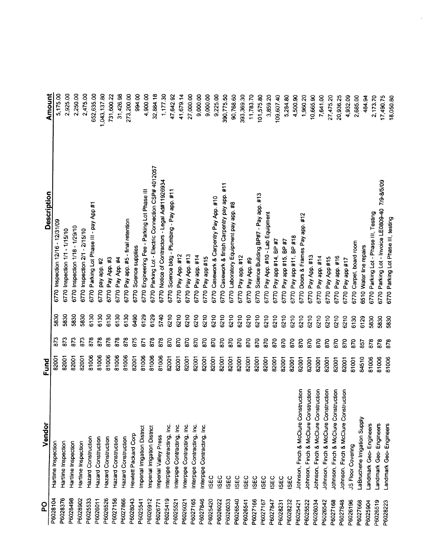| 6770 Parking Lot - Electric Connection CSP# 4012057<br>6770 Parking Lot - Invoice LE0809-40 7/9-8/5/09<br>Notice of Contractors - Legal Ad#11926934<br>Casework & finish Carpentry pay app. #11<br>6770 Engineering Fee - Parking Lot Phase III<br>Science bldg - Plumbing - Pay app. #11<br>Science Building BP#7 - Pay app. #13<br>Casework & Carpentry Pay App. #10<br>6770 Parking Lot Phase III - pay App #1<br>Laboratory Equipment pay app. #8<br>6770 Parking Lot - Phase III, Testing<br>Pay App. #10 - Lab Equipment<br>6770 Doors & Frames Pay app. #12<br>6770 Pay app. #5 - final retention<br>6770 Inspection 1/18 - 1/29/10<br>6770 Inspection 1/1 - 1/15/10<br>6770 Inspection 2/1 - 2/15/10<br>Pay app #11, BP #18<br>Pay app #14, BP #7<br>6770 Pay app #15, BP #7<br>6770 Carpet, board room<br>Science supplies<br>6510 Water line repairs<br>Pay App. #13<br>6770 Pay App. #12<br>Pay app. #14<br>6770 Pay App. #13<br>Pay app. #12<br>6770 Pay app. #16<br>Pay app. #14<br>Pay app #15<br>6770 Pay App #15<br>Pay App. #3<br>6770 Pay App. #4<br>Pay App. #9<br>pay app. #2<br>6770 Pay app #17<br>6770<br>6770<br>6770<br>6770<br>6770<br>6770<br>6770<br>6770<br>6770<br>6770<br>6770<br>6770<br>6770<br>6770<br>6770<br>6770<br>6770<br>6770<br>5830<br>5830<br>5830<br>6130<br>6130<br>6130<br>6129<br>6130<br>6130<br>6490<br>6129<br>6210<br>5740<br>6210<br>6210<br>6210<br>6210<br>6210<br>6210<br>6210<br>6210<br>6210<br>6210<br>6210<br>6210<br>6210<br>6210<br>6210<br>6210<br>6210<br>6210<br>6210<br>6210<br>6130<br>6129<br>5830<br>5830<br>5830<br>873<br>873<br>878<br>878<br>873<br>878<br>878<br>878<br>875<br>878<br>878<br>870<br>870<br>870<br>870<br>870<br>870<br>671<br>870<br>870<br>870<br>870<br>870<br>870<br>870<br>870<br>870<br>870<br>870<br>870<br>870<br>870<br>870<br>870<br>878<br>878<br>878<br>857<br>81006<br>81006<br>81006<br>81006<br>81006<br>81006<br>82001<br>82001<br>81006<br>81006<br>82001<br>82001<br>82001<br>82001<br>82001<br>82001<br>82001<br>82001<br>82001<br>82001<br>82001<br>82001<br>82001<br>82001<br>84510<br>81006<br>81006<br>81006<br>82001<br>82001<br>82001<br>82001<br>82001<br>82001<br>82001<br>82001<br>81001<br>82001<br>82001<br>Johnson, Finch & McClure Construction<br>Johnson, Finch & McClure Construction<br>Johnson, Finch & McClure Construction<br>Johnson, Finch & McClure Construction<br>Johnson, Finch & McClure Construction<br>Johnson, Finch & McClure Construction<br>LaBruchene Irrigation Supply<br>Landmark Geo-Engineers<br>Landmark Geo-Engineers<br>Landmark Geo-Engineers<br>Interpipe Contracting, Inc.<br>Interpipe Contracting, Inc.<br>Interpipe Contracting, Inc.<br>Interpipe Contracting, Inc.<br>Interpipe Contracting, Inc.<br>Imperial Irrigation District<br>Imperial Irrigation District<br>Hewlett Packard Corp<br>mpenal Valley Press<br>Hazard Construction<br>Hazard Construction<br>Hazard Construction<br>Hazard Construction<br>Hazard Construction<br>Hartline Inspection<br>Hartline Inspection<br>Hartline Inspection<br>Hartline Inspection<br>JS Floor Covering<br><b>ISEC</b><br>ISEC<br>ISEC<br>ISEC<br><b>ISEC</b><br>ISEC<br>ISEC<br><b>ISEC</b><br><b>ISEC</b><br><b>ISEC</b><br>P6028498<br>P6028376<br>P6028902<br>P6025533<br>P6026526<br>P6027156<br>P6027866<br>P6028104<br>P6028043<br>P6026912<br>P6025419<br>P6027846<br>P6027165<br>P6025420<br>P6026033<br>P6026011<br>P6025541<br>P6026022<br>P6026540<br>P6027166<br>P6025521<br>P6026771<br>P6026021<br>P6026541<br>P6027167<br>P6028232<br>P6027848<br>P6026196<br>P6027847<br>P6025522<br>P6026034<br>P6026542<br>P6027168<br>P6026519<br>P6028231<br>P6027668<br>P6025904<br>P6025421<br>P6028223 |  |     |      |                                     |              |
|-------------------------------------------------------------------------------------------------------------------------------------------------------------------------------------------------------------------------------------------------------------------------------------------------------------------------------------------------------------------------------------------------------------------------------------------------------------------------------------------------------------------------------------------------------------------------------------------------------------------------------------------------------------------------------------------------------------------------------------------------------------------------------------------------------------------------------------------------------------------------------------------------------------------------------------------------------------------------------------------------------------------------------------------------------------------------------------------------------------------------------------------------------------------------------------------------------------------------------------------------------------------------------------------------------------------------------------------------------------------------------------------------------------------------------------------------------------------------------------------------------------------------------------------------------------------------------------------------------------------------------------------------------------------------------------------------------------------------------------------------------------------------------------------------------------------------------------------------------------------------------------------------------------------------------------------------------------------------------------------------------------------------------------------------------------------------------------------------------------------------------------------------------------------------------------------------------------------------------------------------------------------------------------------------------------------------------------------------------------------------------------------------------------------------------------------------------------------------------------------------------------------------------------------------------------------------------------------------------------------------------------------------------------------------------------------------------------------------------------------------------------------------------------------------------------------------------------------------------------------------------------------------------------------------------------------------------------------------------------------------------------------------------------------------------------------------------------------------------------------------------------------------------------------------------------------------------------------------------------------------------------------------------------------------------------------------------------------------------------------------------------------------------------------------------------------------------------------------------------------------------------------------------------------------------------------------------------------------------------------------------------------------------------------------------------------------------------------------|--|-----|------|-------------------------------------|--------------|
|                                                                                                                                                                                                                                                                                                                                                                                                                                                                                                                                                                                                                                                                                                                                                                                                                                                                                                                                                                                                                                                                                                                                                                                                                                                                                                                                                                                                                                                                                                                                                                                                                                                                                                                                                                                                                                                                                                                                                                                                                                                                                                                                                                                                                                                                                                                                                                                                                                                                                                                                                                                                                                                                                                                                                                                                                                                                                                                                                                                                                                                                                                                                                                                                                                                                                                                                                                                                                                                                                                                                                                                                                                                                                                                         |  | 873 | 5830 | 6770 Inspection 12/16 - 12/31/09    | 5,175.00     |
|                                                                                                                                                                                                                                                                                                                                                                                                                                                                                                                                                                                                                                                                                                                                                                                                                                                                                                                                                                                                                                                                                                                                                                                                                                                                                                                                                                                                                                                                                                                                                                                                                                                                                                                                                                                                                                                                                                                                                                                                                                                                                                                                                                                                                                                                                                                                                                                                                                                                                                                                                                                                                                                                                                                                                                                                                                                                                                                                                                                                                                                                                                                                                                                                                                                                                                                                                                                                                                                                                                                                                                                                                                                                                                                         |  |     |      |                                     | 2,925.00     |
|                                                                                                                                                                                                                                                                                                                                                                                                                                                                                                                                                                                                                                                                                                                                                                                                                                                                                                                                                                                                                                                                                                                                                                                                                                                                                                                                                                                                                                                                                                                                                                                                                                                                                                                                                                                                                                                                                                                                                                                                                                                                                                                                                                                                                                                                                                                                                                                                                                                                                                                                                                                                                                                                                                                                                                                                                                                                                                                                                                                                                                                                                                                                                                                                                                                                                                                                                                                                                                                                                                                                                                                                                                                                                                                         |  |     |      |                                     | 2,250.00     |
|                                                                                                                                                                                                                                                                                                                                                                                                                                                                                                                                                                                                                                                                                                                                                                                                                                                                                                                                                                                                                                                                                                                                                                                                                                                                                                                                                                                                                                                                                                                                                                                                                                                                                                                                                                                                                                                                                                                                                                                                                                                                                                                                                                                                                                                                                                                                                                                                                                                                                                                                                                                                                                                                                                                                                                                                                                                                                                                                                                                                                                                                                                                                                                                                                                                                                                                                                                                                                                                                                                                                                                                                                                                                                                                         |  |     |      |                                     | 2,475.00     |
|                                                                                                                                                                                                                                                                                                                                                                                                                                                                                                                                                                                                                                                                                                                                                                                                                                                                                                                                                                                                                                                                                                                                                                                                                                                                                                                                                                                                                                                                                                                                                                                                                                                                                                                                                                                                                                                                                                                                                                                                                                                                                                                                                                                                                                                                                                                                                                                                                                                                                                                                                                                                                                                                                                                                                                                                                                                                                                                                                                                                                                                                                                                                                                                                                                                                                                                                                                                                                                                                                                                                                                                                                                                                                                                         |  |     |      |                                     | 652,635.00   |
|                                                                                                                                                                                                                                                                                                                                                                                                                                                                                                                                                                                                                                                                                                                                                                                                                                                                                                                                                                                                                                                                                                                                                                                                                                                                                                                                                                                                                                                                                                                                                                                                                                                                                                                                                                                                                                                                                                                                                                                                                                                                                                                                                                                                                                                                                                                                                                                                                                                                                                                                                                                                                                                                                                                                                                                                                                                                                                                                                                                                                                                                                                                                                                                                                                                                                                                                                                                                                                                                                                                                                                                                                                                                                                                         |  |     |      |                                     | 1,043,137.80 |
|                                                                                                                                                                                                                                                                                                                                                                                                                                                                                                                                                                                                                                                                                                                                                                                                                                                                                                                                                                                                                                                                                                                                                                                                                                                                                                                                                                                                                                                                                                                                                                                                                                                                                                                                                                                                                                                                                                                                                                                                                                                                                                                                                                                                                                                                                                                                                                                                                                                                                                                                                                                                                                                                                                                                                                                                                                                                                                                                                                                                                                                                                                                                                                                                                                                                                                                                                                                                                                                                                                                                                                                                                                                                                                                         |  |     |      |                                     | 731,600.22   |
|                                                                                                                                                                                                                                                                                                                                                                                                                                                                                                                                                                                                                                                                                                                                                                                                                                                                                                                                                                                                                                                                                                                                                                                                                                                                                                                                                                                                                                                                                                                                                                                                                                                                                                                                                                                                                                                                                                                                                                                                                                                                                                                                                                                                                                                                                                                                                                                                                                                                                                                                                                                                                                                                                                                                                                                                                                                                                                                                                                                                                                                                                                                                                                                                                                                                                                                                                                                                                                                                                                                                                                                                                                                                                                                         |  |     |      |                                     |              |
|                                                                                                                                                                                                                                                                                                                                                                                                                                                                                                                                                                                                                                                                                                                                                                                                                                                                                                                                                                                                                                                                                                                                                                                                                                                                                                                                                                                                                                                                                                                                                                                                                                                                                                                                                                                                                                                                                                                                                                                                                                                                                                                                                                                                                                                                                                                                                                                                                                                                                                                                                                                                                                                                                                                                                                                                                                                                                                                                                                                                                                                                                                                                                                                                                                                                                                                                                                                                                                                                                                                                                                                                                                                                                                                         |  |     |      |                                     | 31,426.98    |
|                                                                                                                                                                                                                                                                                                                                                                                                                                                                                                                                                                                                                                                                                                                                                                                                                                                                                                                                                                                                                                                                                                                                                                                                                                                                                                                                                                                                                                                                                                                                                                                                                                                                                                                                                                                                                                                                                                                                                                                                                                                                                                                                                                                                                                                                                                                                                                                                                                                                                                                                                                                                                                                                                                                                                                                                                                                                                                                                                                                                                                                                                                                                                                                                                                                                                                                                                                                                                                                                                                                                                                                                                                                                                                                         |  |     |      |                                     | 273,200.00   |
|                                                                                                                                                                                                                                                                                                                                                                                                                                                                                                                                                                                                                                                                                                                                                                                                                                                                                                                                                                                                                                                                                                                                                                                                                                                                                                                                                                                                                                                                                                                                                                                                                                                                                                                                                                                                                                                                                                                                                                                                                                                                                                                                                                                                                                                                                                                                                                                                                                                                                                                                                                                                                                                                                                                                                                                                                                                                                                                                                                                                                                                                                                                                                                                                                                                                                                                                                                                                                                                                                                                                                                                                                                                                                                                         |  |     |      |                                     | 994.00       |
|                                                                                                                                                                                                                                                                                                                                                                                                                                                                                                                                                                                                                                                                                                                                                                                                                                                                                                                                                                                                                                                                                                                                                                                                                                                                                                                                                                                                                                                                                                                                                                                                                                                                                                                                                                                                                                                                                                                                                                                                                                                                                                                                                                                                                                                                                                                                                                                                                                                                                                                                                                                                                                                                                                                                                                                                                                                                                                                                                                                                                                                                                                                                                                                                                                                                                                                                                                                                                                                                                                                                                                                                                                                                                                                         |  |     |      |                                     | 4,900.00     |
|                                                                                                                                                                                                                                                                                                                                                                                                                                                                                                                                                                                                                                                                                                                                                                                                                                                                                                                                                                                                                                                                                                                                                                                                                                                                                                                                                                                                                                                                                                                                                                                                                                                                                                                                                                                                                                                                                                                                                                                                                                                                                                                                                                                                                                                                                                                                                                                                                                                                                                                                                                                                                                                                                                                                                                                                                                                                                                                                                                                                                                                                                                                                                                                                                                                                                                                                                                                                                                                                                                                                                                                                                                                                                                                         |  |     |      |                                     | 32,884.18    |
|                                                                                                                                                                                                                                                                                                                                                                                                                                                                                                                                                                                                                                                                                                                                                                                                                                                                                                                                                                                                                                                                                                                                                                                                                                                                                                                                                                                                                                                                                                                                                                                                                                                                                                                                                                                                                                                                                                                                                                                                                                                                                                                                                                                                                                                                                                                                                                                                                                                                                                                                                                                                                                                                                                                                                                                                                                                                                                                                                                                                                                                                                                                                                                                                                                                                                                                                                                                                                                                                                                                                                                                                                                                                                                                         |  |     |      |                                     | 1,177.30     |
|                                                                                                                                                                                                                                                                                                                                                                                                                                                                                                                                                                                                                                                                                                                                                                                                                                                                                                                                                                                                                                                                                                                                                                                                                                                                                                                                                                                                                                                                                                                                                                                                                                                                                                                                                                                                                                                                                                                                                                                                                                                                                                                                                                                                                                                                                                                                                                                                                                                                                                                                                                                                                                                                                                                                                                                                                                                                                                                                                                                                                                                                                                                                                                                                                                                                                                                                                                                                                                                                                                                                                                                                                                                                                                                         |  |     |      |                                     | 47,642.92    |
|                                                                                                                                                                                                                                                                                                                                                                                                                                                                                                                                                                                                                                                                                                                                                                                                                                                                                                                                                                                                                                                                                                                                                                                                                                                                                                                                                                                                                                                                                                                                                                                                                                                                                                                                                                                                                                                                                                                                                                                                                                                                                                                                                                                                                                                                                                                                                                                                                                                                                                                                                                                                                                                                                                                                                                                                                                                                                                                                                                                                                                                                                                                                                                                                                                                                                                                                                                                                                                                                                                                                                                                                                                                                                                                         |  |     |      |                                     | 41,679.14    |
|                                                                                                                                                                                                                                                                                                                                                                                                                                                                                                                                                                                                                                                                                                                                                                                                                                                                                                                                                                                                                                                                                                                                                                                                                                                                                                                                                                                                                                                                                                                                                                                                                                                                                                                                                                                                                                                                                                                                                                                                                                                                                                                                                                                                                                                                                                                                                                                                                                                                                                                                                                                                                                                                                                                                                                                                                                                                                                                                                                                                                                                                                                                                                                                                                                                                                                                                                                                                                                                                                                                                                                                                                                                                                                                         |  |     |      |                                     | 27,000.00    |
|                                                                                                                                                                                                                                                                                                                                                                                                                                                                                                                                                                                                                                                                                                                                                                                                                                                                                                                                                                                                                                                                                                                                                                                                                                                                                                                                                                                                                                                                                                                                                                                                                                                                                                                                                                                                                                                                                                                                                                                                                                                                                                                                                                                                                                                                                                                                                                                                                                                                                                                                                                                                                                                                                                                                                                                                                                                                                                                                                                                                                                                                                                                                                                                                                                                                                                                                                                                                                                                                                                                                                                                                                                                                                                                         |  |     |      |                                     | 9,000.00     |
|                                                                                                                                                                                                                                                                                                                                                                                                                                                                                                                                                                                                                                                                                                                                                                                                                                                                                                                                                                                                                                                                                                                                                                                                                                                                                                                                                                                                                                                                                                                                                                                                                                                                                                                                                                                                                                                                                                                                                                                                                                                                                                                                                                                                                                                                                                                                                                                                                                                                                                                                                                                                                                                                                                                                                                                                                                                                                                                                                                                                                                                                                                                                                                                                                                                                                                                                                                                                                                                                                                                                                                                                                                                                                                                         |  |     |      |                                     | 9,000.00     |
|                                                                                                                                                                                                                                                                                                                                                                                                                                                                                                                                                                                                                                                                                                                                                                                                                                                                                                                                                                                                                                                                                                                                                                                                                                                                                                                                                                                                                                                                                                                                                                                                                                                                                                                                                                                                                                                                                                                                                                                                                                                                                                                                                                                                                                                                                                                                                                                                                                                                                                                                                                                                                                                                                                                                                                                                                                                                                                                                                                                                                                                                                                                                                                                                                                                                                                                                                                                                                                                                                                                                                                                                                                                                                                                         |  |     |      |                                     | 9,225.00     |
|                                                                                                                                                                                                                                                                                                                                                                                                                                                                                                                                                                                                                                                                                                                                                                                                                                                                                                                                                                                                                                                                                                                                                                                                                                                                                                                                                                                                                                                                                                                                                                                                                                                                                                                                                                                                                                                                                                                                                                                                                                                                                                                                                                                                                                                                                                                                                                                                                                                                                                                                                                                                                                                                                                                                                                                                                                                                                                                                                                                                                                                                                                                                                                                                                                                                                                                                                                                                                                                                                                                                                                                                                                                                                                                         |  |     |      |                                     | 390,775.50   |
|                                                                                                                                                                                                                                                                                                                                                                                                                                                                                                                                                                                                                                                                                                                                                                                                                                                                                                                                                                                                                                                                                                                                                                                                                                                                                                                                                                                                                                                                                                                                                                                                                                                                                                                                                                                                                                                                                                                                                                                                                                                                                                                                                                                                                                                                                                                                                                                                                                                                                                                                                                                                                                                                                                                                                                                                                                                                                                                                                                                                                                                                                                                                                                                                                                                                                                                                                                                                                                                                                                                                                                                                                                                                                                                         |  |     |      |                                     |              |
|                                                                                                                                                                                                                                                                                                                                                                                                                                                                                                                                                                                                                                                                                                                                                                                                                                                                                                                                                                                                                                                                                                                                                                                                                                                                                                                                                                                                                                                                                                                                                                                                                                                                                                                                                                                                                                                                                                                                                                                                                                                                                                                                                                                                                                                                                                                                                                                                                                                                                                                                                                                                                                                                                                                                                                                                                                                                                                                                                                                                                                                                                                                                                                                                                                                                                                                                                                                                                                                                                                                                                                                                                                                                                                                         |  |     |      |                                     | 90,768.60    |
|                                                                                                                                                                                                                                                                                                                                                                                                                                                                                                                                                                                                                                                                                                                                                                                                                                                                                                                                                                                                                                                                                                                                                                                                                                                                                                                                                                                                                                                                                                                                                                                                                                                                                                                                                                                                                                                                                                                                                                                                                                                                                                                                                                                                                                                                                                                                                                                                                                                                                                                                                                                                                                                                                                                                                                                                                                                                                                                                                                                                                                                                                                                                                                                                                                                                                                                                                                                                                                                                                                                                                                                                                                                                                                                         |  |     |      |                                     | 393,369.30   |
|                                                                                                                                                                                                                                                                                                                                                                                                                                                                                                                                                                                                                                                                                                                                                                                                                                                                                                                                                                                                                                                                                                                                                                                                                                                                                                                                                                                                                                                                                                                                                                                                                                                                                                                                                                                                                                                                                                                                                                                                                                                                                                                                                                                                                                                                                                                                                                                                                                                                                                                                                                                                                                                                                                                                                                                                                                                                                                                                                                                                                                                                                                                                                                                                                                                                                                                                                                                                                                                                                                                                                                                                                                                                                                                         |  |     |      |                                     | 11,783.70    |
|                                                                                                                                                                                                                                                                                                                                                                                                                                                                                                                                                                                                                                                                                                                                                                                                                                                                                                                                                                                                                                                                                                                                                                                                                                                                                                                                                                                                                                                                                                                                                                                                                                                                                                                                                                                                                                                                                                                                                                                                                                                                                                                                                                                                                                                                                                                                                                                                                                                                                                                                                                                                                                                                                                                                                                                                                                                                                                                                                                                                                                                                                                                                                                                                                                                                                                                                                                                                                                                                                                                                                                                                                                                                                                                         |  |     |      |                                     | 101,575.80   |
|                                                                                                                                                                                                                                                                                                                                                                                                                                                                                                                                                                                                                                                                                                                                                                                                                                                                                                                                                                                                                                                                                                                                                                                                                                                                                                                                                                                                                                                                                                                                                                                                                                                                                                                                                                                                                                                                                                                                                                                                                                                                                                                                                                                                                                                                                                                                                                                                                                                                                                                                                                                                                                                                                                                                                                                                                                                                                                                                                                                                                                                                                                                                                                                                                                                                                                                                                                                                                                                                                                                                                                                                                                                                                                                         |  |     |      |                                     | 3,859.20     |
|                                                                                                                                                                                                                                                                                                                                                                                                                                                                                                                                                                                                                                                                                                                                                                                                                                                                                                                                                                                                                                                                                                                                                                                                                                                                                                                                                                                                                                                                                                                                                                                                                                                                                                                                                                                                                                                                                                                                                                                                                                                                                                                                                                                                                                                                                                                                                                                                                                                                                                                                                                                                                                                                                                                                                                                                                                                                                                                                                                                                                                                                                                                                                                                                                                                                                                                                                                                                                                                                                                                                                                                                                                                                                                                         |  |     |      |                                     | 109,607.40   |
|                                                                                                                                                                                                                                                                                                                                                                                                                                                                                                                                                                                                                                                                                                                                                                                                                                                                                                                                                                                                                                                                                                                                                                                                                                                                                                                                                                                                                                                                                                                                                                                                                                                                                                                                                                                                                                                                                                                                                                                                                                                                                                                                                                                                                                                                                                                                                                                                                                                                                                                                                                                                                                                                                                                                                                                                                                                                                                                                                                                                                                                                                                                                                                                                                                                                                                                                                                                                                                                                                                                                                                                                                                                                                                                         |  |     |      |                                     | 5,284.80     |
|                                                                                                                                                                                                                                                                                                                                                                                                                                                                                                                                                                                                                                                                                                                                                                                                                                                                                                                                                                                                                                                                                                                                                                                                                                                                                                                                                                                                                                                                                                                                                                                                                                                                                                                                                                                                                                                                                                                                                                                                                                                                                                                                                                                                                                                                                                                                                                                                                                                                                                                                                                                                                                                                                                                                                                                                                                                                                                                                                                                                                                                                                                                                                                                                                                                                                                                                                                                                                                                                                                                                                                                                                                                                                                                         |  |     |      |                                     | 4,500.90     |
|                                                                                                                                                                                                                                                                                                                                                                                                                                                                                                                                                                                                                                                                                                                                                                                                                                                                                                                                                                                                                                                                                                                                                                                                                                                                                                                                                                                                                                                                                                                                                                                                                                                                                                                                                                                                                                                                                                                                                                                                                                                                                                                                                                                                                                                                                                                                                                                                                                                                                                                                                                                                                                                                                                                                                                                                                                                                                                                                                                                                                                                                                                                                                                                                                                                                                                                                                                                                                                                                                                                                                                                                                                                                                                                         |  |     |      |                                     | 1,960.20     |
|                                                                                                                                                                                                                                                                                                                                                                                                                                                                                                                                                                                                                                                                                                                                                                                                                                                                                                                                                                                                                                                                                                                                                                                                                                                                                                                                                                                                                                                                                                                                                                                                                                                                                                                                                                                                                                                                                                                                                                                                                                                                                                                                                                                                                                                                                                                                                                                                                                                                                                                                                                                                                                                                                                                                                                                                                                                                                                                                                                                                                                                                                                                                                                                                                                                                                                                                                                                                                                                                                                                                                                                                                                                                                                                         |  |     |      |                                     | 10,665.90    |
|                                                                                                                                                                                                                                                                                                                                                                                                                                                                                                                                                                                                                                                                                                                                                                                                                                                                                                                                                                                                                                                                                                                                                                                                                                                                                                                                                                                                                                                                                                                                                                                                                                                                                                                                                                                                                                                                                                                                                                                                                                                                                                                                                                                                                                                                                                                                                                                                                                                                                                                                                                                                                                                                                                                                                                                                                                                                                                                                                                                                                                                                                                                                                                                                                                                                                                                                                                                                                                                                                                                                                                                                                                                                                                                         |  |     |      |                                     |              |
|                                                                                                                                                                                                                                                                                                                                                                                                                                                                                                                                                                                                                                                                                                                                                                                                                                                                                                                                                                                                                                                                                                                                                                                                                                                                                                                                                                                                                                                                                                                                                                                                                                                                                                                                                                                                                                                                                                                                                                                                                                                                                                                                                                                                                                                                                                                                                                                                                                                                                                                                                                                                                                                                                                                                                                                                                                                                                                                                                                                                                                                                                                                                                                                                                                                                                                                                                                                                                                                                                                                                                                                                                                                                                                                         |  |     |      |                                     | 7,641.00     |
|                                                                                                                                                                                                                                                                                                                                                                                                                                                                                                                                                                                                                                                                                                                                                                                                                                                                                                                                                                                                                                                                                                                                                                                                                                                                                                                                                                                                                                                                                                                                                                                                                                                                                                                                                                                                                                                                                                                                                                                                                                                                                                                                                                                                                                                                                                                                                                                                                                                                                                                                                                                                                                                                                                                                                                                                                                                                                                                                                                                                                                                                                                                                                                                                                                                                                                                                                                                                                                                                                                                                                                                                                                                                                                                         |  |     |      |                                     | 27,475.20    |
|                                                                                                                                                                                                                                                                                                                                                                                                                                                                                                                                                                                                                                                                                                                                                                                                                                                                                                                                                                                                                                                                                                                                                                                                                                                                                                                                                                                                                                                                                                                                                                                                                                                                                                                                                                                                                                                                                                                                                                                                                                                                                                                                                                                                                                                                                                                                                                                                                                                                                                                                                                                                                                                                                                                                                                                                                                                                                                                                                                                                                                                                                                                                                                                                                                                                                                                                                                                                                                                                                                                                                                                                                                                                                                                         |  |     |      |                                     | 20,936.25    |
|                                                                                                                                                                                                                                                                                                                                                                                                                                                                                                                                                                                                                                                                                                                                                                                                                                                                                                                                                                                                                                                                                                                                                                                                                                                                                                                                                                                                                                                                                                                                                                                                                                                                                                                                                                                                                                                                                                                                                                                                                                                                                                                                                                                                                                                                                                                                                                                                                                                                                                                                                                                                                                                                                                                                                                                                                                                                                                                                                                                                                                                                                                                                                                                                                                                                                                                                                                                                                                                                                                                                                                                                                                                                                                                         |  |     |      |                                     | 4,932.09     |
|                                                                                                                                                                                                                                                                                                                                                                                                                                                                                                                                                                                                                                                                                                                                                                                                                                                                                                                                                                                                                                                                                                                                                                                                                                                                                                                                                                                                                                                                                                                                                                                                                                                                                                                                                                                                                                                                                                                                                                                                                                                                                                                                                                                                                                                                                                                                                                                                                                                                                                                                                                                                                                                                                                                                                                                                                                                                                                                                                                                                                                                                                                                                                                                                                                                                                                                                                                                                                                                                                                                                                                                                                                                                                                                         |  |     |      |                                     | 2,685.00     |
|                                                                                                                                                                                                                                                                                                                                                                                                                                                                                                                                                                                                                                                                                                                                                                                                                                                                                                                                                                                                                                                                                                                                                                                                                                                                                                                                                                                                                                                                                                                                                                                                                                                                                                                                                                                                                                                                                                                                                                                                                                                                                                                                                                                                                                                                                                                                                                                                                                                                                                                                                                                                                                                                                                                                                                                                                                                                                                                                                                                                                                                                                                                                                                                                                                                                                                                                                                                                                                                                                                                                                                                                                                                                                                                         |  |     |      |                                     | 484.94       |
|                                                                                                                                                                                                                                                                                                                                                                                                                                                                                                                                                                                                                                                                                                                                                                                                                                                                                                                                                                                                                                                                                                                                                                                                                                                                                                                                                                                                                                                                                                                                                                                                                                                                                                                                                                                                                                                                                                                                                                                                                                                                                                                                                                                                                                                                                                                                                                                                                                                                                                                                                                                                                                                                                                                                                                                                                                                                                                                                                                                                                                                                                                                                                                                                                                                                                                                                                                                                                                                                                                                                                                                                                                                                                                                         |  |     |      |                                     | 2,173.70     |
|                                                                                                                                                                                                                                                                                                                                                                                                                                                                                                                                                                                                                                                                                                                                                                                                                                                                                                                                                                                                                                                                                                                                                                                                                                                                                                                                                                                                                                                                                                                                                                                                                                                                                                                                                                                                                                                                                                                                                                                                                                                                                                                                                                                                                                                                                                                                                                                                                                                                                                                                                                                                                                                                                                                                                                                                                                                                                                                                                                                                                                                                                                                                                                                                                                                                                                                                                                                                                                                                                                                                                                                                                                                                                                                         |  |     |      |                                     | 17,490.75    |
|                                                                                                                                                                                                                                                                                                                                                                                                                                                                                                                                                                                                                                                                                                                                                                                                                                                                                                                                                                                                                                                                                                                                                                                                                                                                                                                                                                                                                                                                                                                                                                                                                                                                                                                                                                                                                                                                                                                                                                                                                                                                                                                                                                                                                                                                                                                                                                                                                                                                                                                                                                                                                                                                                                                                                                                                                                                                                                                                                                                                                                                                                                                                                                                                                                                                                                                                                                                                                                                                                                                                                                                                                                                                                                                         |  |     |      | 6770 Parking Lot Phase III, testing | 18,050.80    |
|                                                                                                                                                                                                                                                                                                                                                                                                                                                                                                                                                                                                                                                                                                                                                                                                                                                                                                                                                                                                                                                                                                                                                                                                                                                                                                                                                                                                                                                                                                                                                                                                                                                                                                                                                                                                                                                                                                                                                                                                                                                                                                                                                                                                                                                                                                                                                                                                                                                                                                                                                                                                                                                                                                                                                                                                                                                                                                                                                                                                                                                                                                                                                                                                                                                                                                                                                                                                                                                                                                                                                                                                                                                                                                                         |  |     |      |                                     |              |

 $\hat{\mathcal{L}}$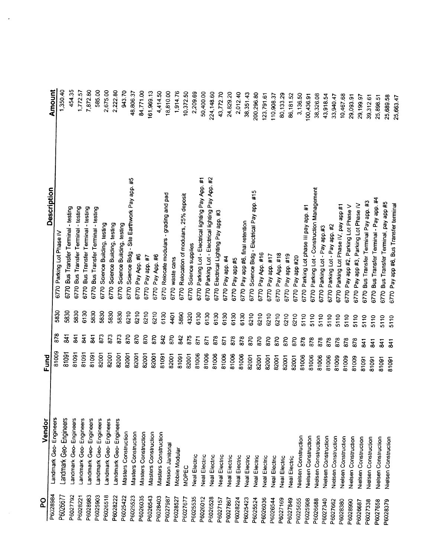|        | Amount                                   | 1,350.40               | 454.35                                       | 1,772.57                        | 7,872.80                             | 585.00                                  | 2,675.00                          | 2,222.80                          |                                   | 943.70                                            | 48,806.37            | 84,771.00            | 161,969.13           | 4,414.50                                    | 18,810.00          | 1,914.76                                 | 10,372.50 | 2,209.69         | 50,400.00                                          | 224,148.60                                            | 43,772.70                               | 24,829.20            | 2,012.40           | 38,351.43                        |                                                | 200,296.80           | 123,791.61           | 110,908.37           | 80,133.29            | 86,181.52            | 3,136.50                    | 100,436.91                        | 38,326.08                                  | 43,918.54                        | 33,940.47                      | 10,467.68                                |                                      | 29,093.91                             | 29,199.97                              | 39,312.61            | 25,898.51                                | 25,689.58                              | 25,663.47                              |
|--------|------------------------------------------|------------------------|----------------------------------------------|---------------------------------|--------------------------------------|-----------------------------------------|-----------------------------------|-----------------------------------|-----------------------------------|---------------------------------------------------|----------------------|----------------------|----------------------|---------------------------------------------|--------------------|------------------------------------------|-----------|------------------|----------------------------------------------------|-------------------------------------------------------|-----------------------------------------|----------------------|--------------------|----------------------------------|------------------------------------------------|----------------------|----------------------|----------------------|----------------------|----------------------|-----------------------------|-----------------------------------|--------------------------------------------|----------------------------------|--------------------------------|------------------------------------------|--------------------------------------|---------------------------------------|----------------------------------------|----------------------|------------------------------------------|----------------------------------------|----------------------------------------|
|        | Description<br>6770 Parking Lot Phase IV |                        | 6770 Bus Transfer Terminal - testing<br>6770 | Bus Transfer Terminal - testing | 6770 Bus Transfer Terminal - testing | Bus Transfer Terminal - testing<br>6770 | Science Building, testing<br>6770 | Science Building, testing<br>6770 | Science Building, testing<br>6770 | Science Bidg - Site Earthwork Pay app. #5<br>6770 | Pay App. #6<br>6770  | Pay app. #7<br>6770  | Pay App. #6<br>6770  | Relocate modulars - grading and pad<br>6770 | waste cans<br>6770 | 6770 Relocation of modulars, 25% deposit | 6770      | Science supplies | 6770 Parking Lot - Electrical lighting Pay App. #1 | Parking Lot - Electrical lighting Pay App. #2<br>6770 | Electrical Lighting Pay app. #3<br>6770 | Pay app. #4<br>6770  | Pay app #5<br>6770 | 6770 Pay app #6, final retention | Science Bldg - Electrical Pay app. #15<br>6770 | Pay App. #16<br>6770 | Pay app. #17<br>6770 | 6770                 | Pay App. #18<br>6770 | Pay app. #19         | Pay app #20<br>6770<br>6770 | Parking Lot phase III pay app. #1 | 6770 Parking Lot - Construction Management | Parking Lot - Pay app.#3<br>6770 | 6770 Parking Lot - Pay app. #2 | Parking Lot Phase IV, pay app #1<br>6770 | 6770 Pay app #2, Parking Lot Phase V | 6770 Pay app #3, Parking Lot Phase IV | 6770 Bus Transfer Terminal Pay app. #3 |                      | 6770 Bus Transfer Terminal - Pay app. #4 | 6770 Bus Transfer Terminal, pay app #5 | 6770 Pay app #6, Bus Transfer terminal |
|        | 5830                                     | 5830                   | 5830                                         | 6130                            |                                      | 5830                                    | 5830                              | 5830                              | 5830                              | 6210                                              | 6210                 | 6210                 | 6210                 | 6130                                        | 4401               | 5890                                     | 4320      | 6130             | 6130                                               |                                                       | 6130                                    | 6130                 | 6130               | 6130                             | 6210                                           | 6210                 | 6210                 | 6210                 | 6210                 | 6210                 | 5110                        |                                   | 5110                                       | 5110                             | 5110                           | 5110                                     | 5110                                 | 5110                                  | 5110                                   | 5110                 | 5110                                     |                                        | 5110                                   |
|        | 878                                      | $\frac{1}{2}$          | $\overline{41}$                              | $\overline{3}$                  | $\overline{3}$                       |                                         | 873                               | 873                               | 873                               | 870                                               | 870                  | 870                  | 870                  | 842                                         | 870                | 842                                      | 875       | 871              | 871                                                |                                                       | 878                                     | 871                  | 878                | 878                              | 870                                            | 870                  | 870                  | 870                  | 870                  | 870                  | 878                         | 878                               |                                            | 878                              | 878                            | 878                                      | 878                                  | 878                                   | $\overline{3}$                         | $\overline{3}$       | $\overline{3}$                           |                                        | $\overline{3}$                         |
| Fund   | 81009                                    | 81091                  | 81091                                        | 81091                           | 81091                                |                                         | 82001                             | 82001                             | 82001                             | 82001                                             | 82001                | 82001                | 82001                | 81091                                       | 82001              | 81091                                    | 82001     | 81006            | 81006                                              | 81006                                                 |                                         | 81006                | 81006              | 81006                            | 82001                                          | 82001                | 82001                | 82001                | 82001                | 82001                | 81006                       | 81006                             | 81006                                      |                                  | 81006                          | 81009                                    | 81009                                | 81009                                 | 81091                                  | 81091                | 81091                                    | 81091                                  |                                        |
| Vendor | Landmark Geo-Engineers                   | Landmark Geo-Engineers | Landmark Geo-Engineers                       | andmark Geo-Engineers           | Landmark Geo-Engineers               | andmark Geo-Engineers                   |                                   | andmark Geo-Engineers             | Landmark Geo-Engineers            | Masters Construction                              | Masters Construction | Masters Construction | Masters Construction | Masters Construction                        | Mission Janitorial | Mobile Modular                           | MOPEC     | Neal Electric    | <b>Neal Electric</b>                               | <b>Neal Electnc</b>                                   | <b>Neal Electric</b>                    | <b>Neal Electric</b> | Neal Electric      | <b>Neal Electric</b>             |                                                | Neal Electric        | <b>Neal Electric</b> | <b>Neal Electric</b> | <b>Neal Electric</b> | <b>Neal Electric</b> | Nielsen Construction        | Nielsen Construction              | Nielsen Construction                       | Nielsen Construction             | Nielsen Construction           | Nielsen Construction                     |                                      | Nielsen Construction                  | Nielsen Construction                   | Nielsen Construction | Nielsen Construction                     | Nielsen Construction                   |                                        |
| po     | P6028984                                 | P6026677               | P6027792                                     | P6028221                        | P6028983                             | P6025903                                | P6026518                          | P6028222                          |                                   | P6025422                                          | P6025523             | P6026035             | P6026543             | P6028403                                    | P6027987           | P6028527                                 | P6027677  | P6025535         | P6026012                                           | P6026528                                              | P6027157                                | P6027867             | P6028224           | P6025423                         | P6025524                                       |                      | P6026036             | P6026544             | P6027169             | P6027849             | P6025655                    | P6025908                          | P6026688                                   | P6027340                         | P6027662                       | P6028380                                 | P6028990                             | P6026687                              |                                        | P6027338             | P6027658                                 | P6028379                               |                                        |

 $\ddot{\phantom{a}}$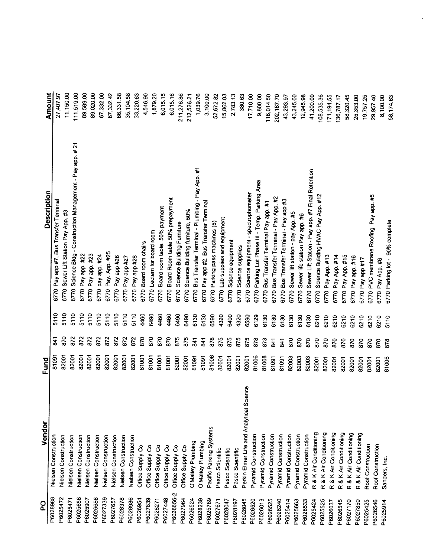| ဥ          | Vendor                                   | Fund  |                |      | Description                                                    |            |
|------------|------------------------------------------|-------|----------------|------|----------------------------------------------------------------|------------|
| P6028988   | Nielsen Construction                     | 81091 | $\overline{3}$ | 5110 | Pay app #7, Bus Transfer Terminal<br>6770                      | Amount     |
| P6025472   | Nielsen Construction                     | 82001 | 870            | 5110 | 6770                                                           | 27,407.97  |
| P6025471   | Nielsen Construction                     |       |                |      | Sewer Lift Station Pay App. #3                                 | 11,150.00  |
| P6025656   |                                          | 82001 | 872            | 5110 | Science Bldg - Construction Management - Pay app. # 21<br>6770 | 111,519.00 |
| P6025907   | Nielsen Construction                     | 82001 | 872            | 5110 | Pay app. #22<br>6770                                           | 89,589.00  |
|            | Nielsen Construction                     | 82001 | 872            | 5110 | Pay app. #23<br>6770                                           | 89,020.00  |
| P6026686   | Nielsen Construction                     | 82001 | 872            | 5110 | pay app. #24<br>6770                                           | 67,332.00  |
| P6027339   | Nielsen Construction                     | 82001 | 872            | 5110 | Pay. App. #25<br>6770                                          | 67,332.42  |
| P6027657   | Nielsen Construction                     | 82001 | 872            | 5110 | Pay app #26<br>6770                                            |            |
| P6028378   | Nielsen Construction                     | 82001 | 872            | 5110 | Pay app #27<br>6770                                            | 66,331.58  |
| P6028986   | Nielsen Construction                     | 82001 | 872            | 5110 | Pay app #28<br>6770                                            | 35,104.58  |
| P6026954   | Office Supply Co                         | 81001 | 870            | 4460 | Board room chairs<br>6770                                      | 33,220.63  |
| P6027839   | Office Supply Co                         | 81001 | 870            | 6490 | 6770 Lectern for board room                                    | 4,546.90   |
| P6028271   | Office Supply Co                         | 81001 | 870            | 4460 | 6770                                                           | 1,879.20   |
| P6027448   | Office Supply Co                         | 81001 | 870            | 4460 | Board room table, 50% payment<br>6770                          | 6,015.15   |
| P6026656-2 | Office Supply Co                         | 82001 | 875            | 6490 | Board Room table 50% prepayment<br>6770                        | 6,015.16   |
| P6027964   | Office Supply Co                         |       |                |      | Science Building Furniture                                     | 211,276.86 |
| P6026524   | O'Malley Plumbing                        | 82001 | 875            | 6490 | Science Building furniture, 50%<br>6770                        | 212,526.21 |
| P6028239   |                                          | 81091 | $\overline{a}$ | 6130 | Bus Transfer Terminal - Plumbing - Pay App. #1<br>6770         | 1,039.76   |
|            | O'Malley Plumbing                        | 81091 | $\overline{a}$ | 6130 | 6770 Pay app #2, Bus Transfer Terminal                         | 3,100.00   |
| P6025769   | Pacific Parking Systems                  | 81006 | 878            | 6590 | 6770 Parking pass machines (5)                                 | 52,672.82  |
| P6027671   | Pasco Scientific                         | 82001 | 875            | 4320 | Lab supplies and equipment<br>6770                             | 15,862.03  |
| P6028047   | Pasco Scientific                         | 82001 | 875            | 6490 | Science equipment<br>6770                                      |            |
| P6028197   | Pasco Scientific                         | 82001 | 875            | 4320 | Science supplies<br>6770                                       | 2,783.13   |
| P6028045   | Perkin Elmer Life and Analytical Science | 82001 | 875            | 6590 | 6770                                                           | 380.63     |
| P6026520   | Pyramid Construction                     | 81006 | 878            | 6129 | Science equipment - spectrophometer<br>6770                    | 17,710.00  |
| P6026013   | Pyramid Construction                     |       |                |      | Parking Lot Phase III - Temp. Parking Area                     | 9,800.00   |
| P6026525   | Pyramid Construction                     | 81008 | 873            | 6130 | Bus Transfer Terminal Pay app. #1<br>6770                      | 116,014.50 |
| P6028240   |                                          | 81091 | $\overline{3}$ | 6130 | Bus Transfer Terminal - Pay App. #2<br>6770                    | 202,187.70 |
| P6025414   | Pyramid Construction                     | 81091 | $\overline{3}$ | 6130 | Bus Transfer Terminal - Pay app #3<br>6770                     | 43,293.97  |
| P6025663   | Pyramid Construction                     | 82003 | 870            | 6130 | Sewer lift station - pay App. #5<br>6770                       | 43,245.00  |
| P6026533   | Pyramid Construction                     | 82003 | 870            | 6130 | Sewer life station Pay app. #6<br>6770                         | 12,945.98  |
|            | Pyramid Construction                     | 82003 | 870            | 6130 | Sewer Lift Station - Pay app. #7 Final Retention<br>6770       | 41,200.00  |
| P6025424   | R & K Air Conditioning                   | 82001 | 870            | 6210 | Science Building HVAC Pay App. #12<br>6770                     | 108,535.36 |
| P6025525   | R & K Air Conditioning                   | 82001 | 870            | 6210 | Pay App. #13<br>6770                                           | 171,194.55 |
| P6026037   | R & K Air Conditioning                   | 82001 | 870            | 6210 | Pay App. #14<br>6770                                           | 136,787.17 |
| P6026545   | R & K Air Conditioning                   | 82001 | 870            | 6210 | Pay App. #15<br>6770                                           |            |
| P6027170   | R & K Air Conditioning                   | 82001 | 870            | 6210 | Pay app. #16<br>6770                                           | 58,320.45  |
| P6027850   | R & K Air Conditioning                   | 82001 | 870            | 6210 | Pay app #17<br>6770                                            | 25,353.00  |
| P6025425   | Roof Construction                        | 82001 | 870            | 6210 |                                                                | 19,757.25  |
| P6026546   | Roof Construction                        | 82001 | 870            | 6210 | 6770 PVC membrane Roofing Pay app. #5<br>6770                  | 29,957.40  |
| P6025914   | Sanders, Inc.                            |       |                |      | Pay App. #6                                                    | 8,100.00   |
|            |                                          | 81006 | 878            | 5110 | 6770 Parking lot - 90% complete                                | 58,174.63  |
|            |                                          |       |                |      |                                                                |            |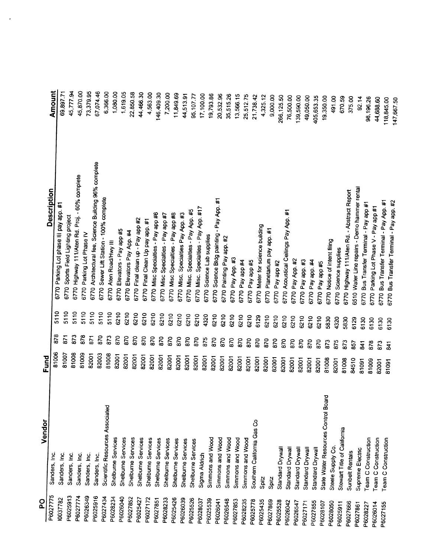| <b>O</b> | Vendor                              | Fund  |                |      |                                                       |            |
|----------|-------------------------------------|-------|----------------|------|-------------------------------------------------------|------------|
| P6027775 | Sanders, Inc.                       | 81006 | 878            | 5110 | Description                                           | Amount     |
| 10037782 | Sanders, Inc.                       | 81007 |                |      | 6770 Parking Lot phase III pay app. #1                | 69,897.71  |
| P6025913 | Sanders, Inc.                       |       | 871            | 5110 | 6770 Sports Field Lighting project                    | 45,777.94  |
| P6027774 | Sanders, Inc.                       | 81008 | 873            | 5110 | 6770 Highway 111/Aten Rd. Proj. - 60% complete        | 45,870.00  |
| P6026349 |                                     | 81009 | 878            | 5110 | 6770 Parking Lot Phase IV                             |            |
|          | Sanders, Inc.                       | 82001 | 871            | 5110 | 6770 Architectural fee, Science Building 96% complete | 73,379.95  |
| P6025916 | Sanders, Inc.                       | 82003 | 870            | 5110 | Sewer Lift Station - 100% complete<br>6770            | 67,074.46  |
| P6027434 | Scientific Resources Associated     | 81008 | 873            | 5110 | 6770                                                  | 6,366.00   |
| P6028234 | Shelburne Services                  | 82001 | 870            | 6210 | Aten Road/Hwy III                                     | 1,080.00   |
| P6026040 | Shelburne Services                  | 82001 | 870            |      | 6770 Elevators - Pay app #5                           | 1,619.05   |
| P6027852 | Shelburne Services                  |       |                | 6210 | 6770 Elevators Pay App. #4                            | 22,850.58  |
| P6025427 | Shelburne Services                  | 82001 | 870            | 6210 | 6770 Final clean up - Pay app #2                      | 44,466.30  |
| P6027172 | Shelburne Services                  | 82001 | 870            | 6210 | 6770 Final Clean Up pay app. #1                       |            |
| P6027851 |                                     | 82001 | 870            | 6210 | 6770 Misc Specialties - Pay app #6                    | 4,563.00   |
|          | Shelburne Services                  | 82001 | 870            | 6210 | 6770 Misc Specialties - Pay app #7                    | 146,409.30 |
| P6028233 | Shelburne Services                  | 82001 | 870            | 6210 | 6770 Misc Specialties - Pay app #8                    | 7,200.00   |
| P6025426 | Shelburne Services                  | 82001 | 870            | 6210 | 6770 Misc. Specialties Pay App. #3                    | 11,849.69  |
| P6026039 | Shelburne Services                  | 82001 | 870            | 6210 |                                                       | 44,513.91  |
| P6025526 | Shelburne Services                  | 82001 | 870            |      | 6770 Misc. Specialties - Pay App. #5                  | 95,107.77  |
| P6028037 | Sigma Aldrich                       |       |                | 6210 | 6770 Misc. Specialties - Pay App. #17                 | 17,100.00  |
| P6025539 | Simmons and Wood                    | 82001 | 875            | 4320 | Science Lab supplies<br>6770                          | 19,793.86  |
| P6026041 |                                     | 82001 | 870            | 6210 | Science Bldg painting - Pay App. #1<br>6770           |            |
| P6026548 | Simmons and Wood                    | 82001 | 870            | 6210 | 6770 Painting Pay app. #2                             | 20,532.96  |
|          | Simmons and Wood                    | 82001 | 870            | 6210 | 6770 Pay App. #3                                      | 35,515.26  |
| P6027853 | Simmons and Wood                    | 82001 | 870            | 6210 |                                                       | 13,566.15  |
| P6028235 | Simmons and Wood                    | 82001 | 870            | 6210 | 6770 Pay app #4                                       | 25,512.75  |
| P6025778 | Southern California Gas Co          | 82001 |                |      | 6770 Pay app #5                                       | 21,738.42  |
| P6025435 | Spitz                               |       | 870            | 6129 | 6770 Meter for science building                       | 4,325.12   |
| P6027869 | Spitz                               | 82001 | 870            | 6210 | Planetarium pay app. #1<br>6770                       | 9,000.00   |
| P6025528 |                                     | 82001 | 870            | 6210 | Pay app #2<br>6770                                    |            |
| P6026042 | Standard Drywall                    | 82001 | 870            | 6210 | 6770 Acoustical Ceilings Pay App. #1                  | 266,125.50 |
|          | Standard Drywall                    | 82001 | 870            | 6210 | 6770 Pay App. #2                                      | 76,500.00  |
| P6026547 | Standard Drywall                    | 82001 | 870            | 6210 |                                                       | 139,590.00 |
| P6027171 | Standard Drywall                    | 82001 | 870            | 6210 | 6770 Pay app. #3                                      | 49,050.00  |
| P6027855 | Standard Drywall                    | 82001 | 870            |      | Pay app. #4<br>6770                                   | 405,653.35 |
| P6028107 | State Water Resources Control Board |       |                | 6210 | Pay app #5<br>6770                                    | 19,350.00  |
| P6028050 | Steele Supply Co.                   | 81008 | 873            | 5830 | 6770 Notice of intent filing                          | 491.00     |
| P6025911 |                                     | 82001 | 875            | 4320 | Science supplies<br>6770                              |            |
| P6027666 | Stewart Title of California         | 81008 | 873            | 5830 | Highway 111/Aten Rd. - Abstract Report<br>6770        | 670.59     |
|          | Sunbelt Rentals                     | 84510 | 857            | 6129 |                                                       | 375.00     |
| P6027861 | Supreme Electric                    | 81091 | $\overline{3}$ | 6130 | 6510 Water Line repairs - Demo hammer rental<br>6770  | 92.14      |
| P6028227 | Team C Construction                 | 81009 | 878            | 6130 | Bus Transfer Terminal - Pay app #1                    | 98,196.26  |
| P6026014 | Team C Construction                 | 82001 |                |      | Parking Lot Phase V - Pay app #1<br>6770              | 44,688.60  |
| P6027155 | Team C Construction                 |       | 873            | 6130 | 6770 Bus Transfer Terminal - Pay App. #1              |            |
|          |                                     | 81091 | $\overline{3}$ | 6130 | 6770 Bus Transfer Terminal - Pay app. #2              | 118,845.00 |
|          |                                     |       |                |      |                                                       | 147,667.50 |
|          |                                     |       |                |      |                                                       |            |

 $\hat{\boldsymbol{\cdot} }$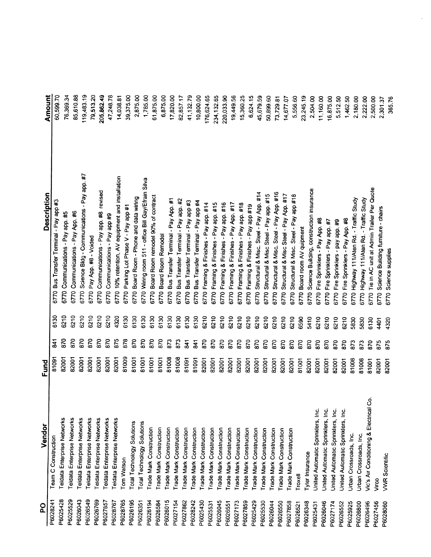| <u>o</u> | Vendor                                  | <b>Fund</b> |                |      | Description                                                                                      | Amount     |
|----------|-----------------------------------------|-------------|----------------|------|--------------------------------------------------------------------------------------------------|------------|
| P6028241 | Team C Construction                     | 81091       | $\overline{3}$ | 6130 | 6770 Bus Transfer Terminal - Pay app #3                                                          | 60,599.70  |
| P6025428 | Teldata Enterprise Networks             | 82001       | 870            | 6210 | 6770 Communications - Pay app. #5                                                                |            |
| P6025529 | Teldata Enterprise Networks             | 82001       | 870            | 6210 | 6770 Communications - Pay App. #6                                                                | 76,369.34  |
| P6026043 | Teldata Enterprise Networks             | 82001       | 870            | 6210 | 6770                                                                                             | 85,610.88  |
| P6026549 | Teldata Enterprise Networks             | 82001       | 870            | 6210 | Science Bldg - Communications - Pay app. #7<br>6770 Pay App. #8 - Voided                         | 119,483.19 |
| P6026769 | Teldata Enterprise Networks             | 82001       | 870            | 6210 | 6770 Communications - Pay app. #8 revised                                                        | 79,513.20  |
| P6027857 | Teldata Enterprise Networks             | 82001       | 870            | 6210 | 6770 Communications - Pay app #9                                                                 | 205,862.49 |
| P6028767 | Teldata Enterprise Networks             | 82001       | 875            | 4320 | 6770 10% retention, AV equipment and installation                                                | 47,248.78  |
| P6028765 | Tom Watson                              | 81009       | 878            | 6130 | 6770 Parking Lot Phase V - Pay app #1                                                            | 14,038.81  |
| P6026195 | Total Technology Solutions              | 81001       | 870            | 6130 | 6770                                                                                             | 39,375.00  |
| P6026351 | Total Technology Solutions              | 81001       | 870            | 6130 | Board Room - Phone and data winng                                                                | 2,875.00   |
| P6026194 | Trade Mark Construction                 | 81001       | 870            | 6130 | Silva<br>6770 Winng room 511 - office Bill Gay/Efrain<br>6770 Board Room remodel 90% of contract | 1,785.00   |
| P6026584 | Trade Mark Construction                 | 81001       | 870            | 6130 |                                                                                                  | 61,875.00  |
| P6026015 | Trade Mark Construction                 |             |                |      | 6770 Board Room Remodel                                                                          | 6,875.00   |
| P6027154 | Trade Mark Construction                 | 81008       | 873            | 6130 | Bus Transfer Terminal - Pay App. #1<br>6770                                                      | 17,820.00  |
| P6027862 |                                         | 81008       | 873            | 6130 | 6770 Bus Transfer Terminal - Pay app. #2                                                         | 82,857.17  |
|          | Trade Mark Construction                 | 81091       | $\overline{a}$ | 6130 | 6770 Bus Transfer Terminal - Pay app #3                                                          | 41,132.79  |
| P6028242 | Trade Mark Construction                 | 81091       | $\overline{3}$ | 6130 | Bus Transfer Terminal - Pay app #4<br>6770                                                       | 10,800.00  |
| P6025430 | Trade Mark Construction                 | 82001       | 870            | 6210 | 6770 Framing & Finishes - Pay app. #14                                                           | 176,624.65 |
| P6025531 | Trade Mark Construction                 | 82001       | 870            | 6210 | 6770 Framing & Finishes - Pay app. #15                                                           | 234,132.65 |
| P6026045 | Trade Mark Construction                 | 82001       | 870            | 6210 | Framing & Finishes - Pay app. #16<br>6770                                                        | 220,033.90 |
| P6026551 | Trade Mark Construction                 | 82001       | 870            | 6210 | 6770 Framing & Finishes - Pay App. #17                                                           | 19,449.56  |
| P6027173 | Trade Mark Construction                 | 82001       | 870            | 6210 | 6770 Framing & Finishes - Pay app. #18                                                           | 15,360.25  |
| P6027859 | Trade Mark Construction                 | 82001       | 870            | 6210 | Framing & Finishes - Pay app #19<br>6770                                                         | 6,624.15   |
| P6025429 | Trade Mark Construction                 | 82001       | 870            | 6210 | Structural & Misc. Steel - Pay App. #14<br>6770                                                  |            |
| P6025530 | Trade Mark Construction                 | 82001       | 870            | 6210 | 6770                                                                                             | 45,679.59  |
| P6026044 | Trade Mark Construction                 | 82001       | 870            |      | Structural & Misc Steel - Pay app. #15                                                           | 50,899.60  |
| P6026550 | Trade Mark Construction                 | 82001       | 870            | 6210 | Structural & Misc. Steel - Pay App. #16<br>6770                                                  | 73,729.81  |
| P6027858 | Trade Mark Construction                 |             |                | 6210 | Structural & Misc Steel - Pay App. #17<br>6770                                                   | 14,677.07  |
| P602652  | Troxell                                 | 82001       | 870            | 6210 | Structural & Misc. Steel - Pay app #18<br>6770                                                   | 5,556.60   |
| P6026348 |                                         | 81001       | 870            | 6590 | Board room AV quipment<br>6770                                                                   | 23,245.19  |
| P6025431 | Tyler Insurance                         | 82001       | 870            | 5410 | Science Building, construction insurance<br>6770                                                 | 2,504.00   |
|          | United Automatic Sprinklers, Inc.       | 82001       | 870            | 6210 | Fire Sprinklers - Pay App. #8<br>6770                                                            | 11,160.00  |
| P6026046 | United Automatic Sprinklers, Inc.       | 82001       | 870            | 6210 | Fire Sprinklers - Pay app. #7<br>6770                                                            | 16,875.00  |
| P6027174 | United Automatic Sprinklers, Inc.       | 82001       | 870            | 6210 | Fire Sprinklers - pay app. #9<br>6770                                                            | 5,512.50   |
| P6026552 | United Automatic Sprinklers, Inc.       | 82001       | 870            | 6210 | Fire Sprinklers - Pay App. #8<br>6770                                                            | 1,462.50   |
| P6025925 | Urban Crossroads, Inc.                  | 81008       | 873            | 5830 | 6770 Highway 111/Aten Rd. - Traffic Study                                                        | 2,180.00   |
| P6026800 | Urban Crossroads, Inc.                  | 81008       | 873            | 5830 | Highway 111/Aten Rd. - Traffic Study<br>6770                                                     | 2,222.00   |
| P6026496 | Vic's Air Conditioning & Electrical Co. | 81001       | 870            | 6130 | 6770 Tie in AC unit at Admin Trailer Per Quote                                                   |            |
| P6027456 | ر<br>آر                                 | 82001       | 875            | 4401 | 6770 Science Building furniture - chairs                                                         | 2,500.00   |
| P6028060 | <b>VVR Scientific</b>                   | 82001       | 875            | 4320 | <b>5770 Science supplies</b>                                                                     | 2,301.37   |
|          |                                         |             |                |      |                                                                                                  | 365.76     |